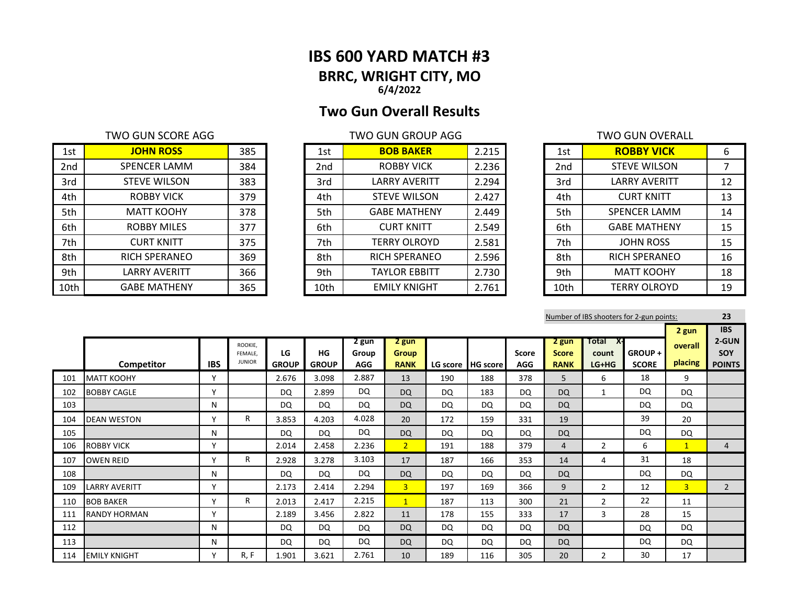## **IBS 600 YARD MATCH #3 BRRC, WRIGHT CITY, MO 6/4/2022**

# **Two Gun Overall Results**

## TWO GUN SCORE AGG TWO GUN GROUP AGG

| 1st             | <b>JOHN ROSS</b>     | 385 | 1st             | <b>BOB BAKER</b>     | 2.215 | 1st             | <b>ROBBY VICK</b>    | 6  |
|-----------------|----------------------|-----|-----------------|----------------------|-------|-----------------|----------------------|----|
| 2 <sub>nd</sub> | SPENCER LAMM         | 384 | 2 <sub>nd</sub> | <b>ROBBY VICK</b>    | 2.236 | 2 <sub>nd</sub> | <b>STEVE WILSON</b>  |    |
| 3rd             | <b>STEVE WILSON</b>  | 383 | 3rd             | <b>LARRY AVERITT</b> | 2.294 | 3rd             | <b>LARRY AVERITT</b> | 12 |
| 4th             | <b>ROBBY VICK</b>    | 379 | 4th             | <b>STEVE WILSON</b>  | 2.427 | 4th             | <b>CURT KNITT</b>    | 13 |
| 5th             | <b>MATT KOOHY</b>    | 378 | 5th             | <b>GABE MATHENY</b>  | 2.449 | 5th             | <b>SPENCER LAMM</b>  | 14 |
| 6th             | <b>ROBBY MILES</b>   | 377 | 6th             | <b>CURT KNITT</b>    | 2.549 | 6th             | <b>GABE MATHENY</b>  | 15 |
| 7th             | <b>CURT KNITT</b>    | 375 | 7th             | <b>TERRY OLROYD</b>  | 2.581 | 7th             | <b>JOHN ROSS</b>     | 15 |
| 8th             | <b>RICH SPERANEO</b> | 369 | 8th             | <b>RICH SPERANEO</b> | 2.596 | 8th             | <b>RICH SPERANEO</b> | 16 |
| 9th             | LARRY AVERITT        | 366 | 9th             | <b>TAYLOR EBBITT</b> | 2.730 | 9th             | <b>MATT KOOHY</b>    | 18 |
| 10th            | <b>GABE MATHENY</b>  | 365 | 10th            | <b>EMILY KNIGHT</b>  | 2.761 | 10th            | <b>TERRY OLROYD</b>  | 19 |

| 1st             | <b>BOB BAKER</b>     | 2.215 |
|-----------------|----------------------|-------|
| 2 <sub>nd</sub> | <b>ROBBY VICK</b>    | 2.236 |
| 3rd             | <b>LARRY AVERITT</b> | 2.294 |
| 4th             | <b>STEVE WILSON</b>  | 2.427 |
| 5th             | <b>GABE MATHENY</b>  | 2.449 |
| 6th             | <b>CURT KNITT</b>    | 2.549 |
| 7th             | <b>TERRY OLROYD</b>  | 2.581 |
| 8th             | <b>RICH SPERANEO</b> | 2.596 |
| 9th             | <b>TAYLOR EBBITT</b> | 2.730 |
| 10th            | <b>EMILY KNIGHT</b>  | 2.761 |

|                 | TWO GUN OVERALL      |    |
|-----------------|----------------------|----|
| 1st             | <b>ROBBY VICK</b>    | 6  |
| 2 <sub>nd</sub> | <b>STEVE WILSON</b>  | 7  |
| 3rd             | <b>LARRY AVERITT</b> | 12 |
| 4th             | <b>CURT KNITT</b>    | 13 |
| 5th             | <b>SPENCER LAMM</b>  | 14 |
| 6th             | <b>GABE MATHENY</b>  | 15 |
| 7th             | <b>JOHN ROSS</b>     | 15 |
| 8th             | <b>RICH SPERANEO</b> | 16 |
| 9th             | <b>MATT KOOHY</b>    | 18 |
| 10th            | <b>TERRY OLROYD</b>  | 19 |

|     |                      |              |                          |                    |                    |                     |                             |     |                   |                            |                             |                  | Number of IBS shooters for 2-gun points: |                | 23                          |
|-----|----------------------|--------------|--------------------------|--------------------|--------------------|---------------------|-----------------------------|-----|-------------------|----------------------------|-----------------------------|------------------|------------------------------------------|----------------|-----------------------------|
|     |                      |              |                          |                    |                    |                     |                             |     |                   |                            |                             |                  |                                          | 2 gun          | <b>IBS</b>                  |
|     |                      |              | ROOKIE.                  |                    |                    | 2 gun               | 2 gun                       |     |                   |                            | 2 gun                       | Total<br>X-      |                                          | overall        | 2-GUN                       |
|     | Competitor           | <b>IBS</b>   | FEMALE.<br><b>JUNIOR</b> | LG<br><b>GROUP</b> | HG<br><b>GROUP</b> | Group<br><b>AGG</b> | <b>Group</b><br><b>RANK</b> |     | LG score HG score | <b>Score</b><br><b>AGG</b> | <b>Score</b><br><b>RANK</b> | count<br>$LG+HG$ | <b>GROUP +</b><br><b>SCORE</b>           | placing        | <b>SOY</b><br><b>POINTS</b> |
| 101 | <b>MATT KOOHY</b>    | $\checkmark$ |                          | 2.676              | 3.098              | 2.887               | 13                          | 190 | 188               | 378                        | 5                           | 6                | 18                                       | 9              |                             |
| 102 | <b>BOBBY CAGLE</b>   | $\checkmark$ |                          | DQ                 | 2.899              | DQ                  | <b>DQ</b>                   | DQ  | 183               | <b>DQ</b>                  | <b>DQ</b>                   | $\mathbf{1}$     | DQ                                       | DQ             |                             |
| 103 |                      | N            |                          | DQ                 | DQ                 | DQ                  | <b>DQ</b>                   | DQ  | DQ                | <b>DQ</b>                  | <b>DQ</b>                   |                  | <b>DQ</b>                                | <b>DQ</b>      |                             |
| 104 | <b>DEAN WESTON</b>   | $\mathbf v$  | R                        | 3.853              | 4.203              | 4.028               | 20                          | 172 | 159               | 331                        | 19                          |                  | 39                                       | 20             |                             |
| 105 |                      | N            |                          | DQ                 | <b>DQ</b>          | DQ                  | <b>DQ</b>                   | DQ  | DQ                | <b>DQ</b>                  | <b>DQ</b>                   |                  | DQ                                       | <b>DQ</b>      |                             |
| 106 | <b>ROBBY VICK</b>    | $\checkmark$ |                          | 2.014              | 2.458              | 2.236               | 2 <sup>1</sup>              | 191 | 188               | 379                        | 4                           | $\overline{2}$   | 6                                        | $\mathbf{1}$   | $\overline{4}$              |
| 107 | <b>OWEN REID</b>     | $\mathbf v$  | R                        | 2.928              | 3.278              | 3.103               | 17                          | 187 | 166               | 353                        | 14                          | 4                | 31                                       | 18             |                             |
| 108 |                      | N            |                          | DQ                 | DQ                 | DQ                  | <b>DQ</b>                   | DQ  | DQ                | <b>DQ</b>                  | <b>DQ</b>                   |                  | DQ                                       | DQ             |                             |
| 109 | <b>LARRY AVERITT</b> | $\checkmark$ |                          | 2.173              | 2.414              | 2.294               | 3 <sup>1</sup>              | 197 | 169               | 366                        | 9                           | $\overline{2}$   | 12                                       | $\overline{3}$ | $2^{\circ}$                 |
| 110 | <b>BOB BAKER</b>     | $\checkmark$ | R                        | 2.013              | 2.417              | 2.215               | 1                           | 187 | 113               | 300                        | 21                          | $\overline{2}$   | 22                                       | 11             |                             |
| 111 | <b>RANDY HORMAN</b>  | $\checkmark$ |                          | 2.189              | 3.456              | 2.822               | 11                          | 178 | 155               | 333                        | 17                          | 3                | 28                                       | 15             |                             |
| 112 |                      | N            |                          | DQ                 | DQ                 | DQ                  | <b>DQ</b>                   | DQ  | DQ                | <b>DQ</b>                  | <b>DQ</b>                   |                  | DQ                                       | <b>DQ</b>      |                             |
| 113 |                      | N            |                          | DQ                 | DQ                 | DQ                  | <b>DQ</b>                   | DQ  | <b>DQ</b>         | DQ                         | <b>DQ</b>                   |                  | DQ                                       | <b>DQ</b>      |                             |
| 114 | <b>EMILY KNIGHT</b>  | v            | R, F                     | 1.901              | 3.621              | 2.761               | 10                          | 189 | 116               | 305                        | 20                          | $\overline{2}$   | 30                                       | 17             |                             |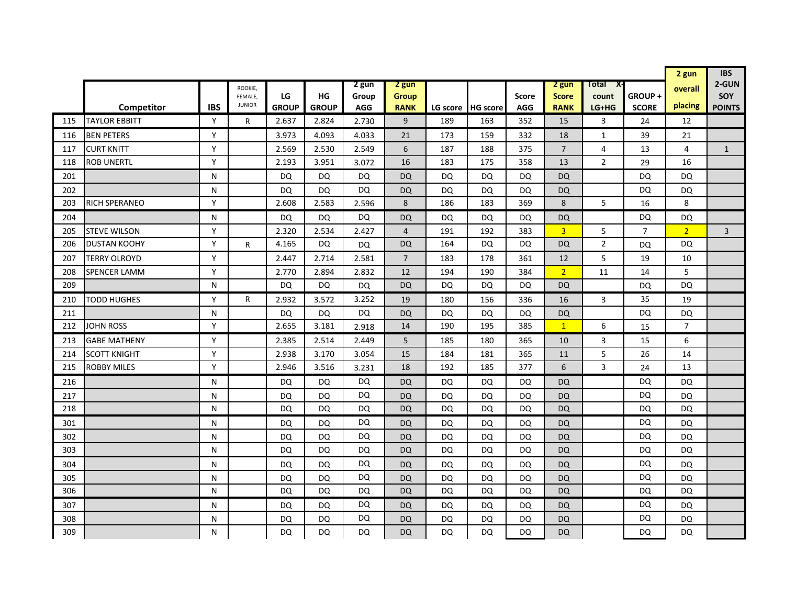|     |                      |            |                          |              |              |            |                |           |                 |              |                |                |                | 2 gun          | <b>IBS</b>     |
|-----|----------------------|------------|--------------------------|--------------|--------------|------------|----------------|-----------|-----------------|--------------|----------------|----------------|----------------|----------------|----------------|
|     |                      |            | ROOKIE,                  |              |              | 2 gun      | 2 gun          |           |                 |              | 2 gun          | Total<br>X-    |                | overall        | 2-GUN          |
|     |                      |            | FEMALE.<br><b>JUNIOR</b> | LG           | HG           | Group      | <b>Group</b>   |           |                 | <b>Score</b> | <b>Score</b>   | count          | GROUP+         |                | <b>SOY</b>     |
|     | Competitor           | <b>IBS</b> |                          | <b>GROUP</b> | <b>GROUP</b> | <b>AGG</b> | <b>RANK</b>    | LG score  | <b>HG</b> score | <b>AGG</b>   | <b>RANK</b>    | LG+HG          | <b>SCORE</b>   | placing        | <b>POINTS</b>  |
| 115 | <b>TAYLOR EBBITT</b> | Y          | R                        | 2.637        | 2.824        | 2.730      | 9              | 189       | 163             | 352          | 15             | 3              | 24             | 12             |                |
| 116 | <b>BEN PETERS</b>    | Y          |                          | 3.973        | 4.093        | 4.033      | 21             | 173       | 159             | 332          | 18             | 1              | 39             | 21             |                |
| 117 | <b>CURT KNITT</b>    | Y          |                          | 2.569        | 2.530        | 2.549      | 6              | 187       | 188             | 375          | $\overline{7}$ | 4              | 13             | 4              | $\mathbf{1}$   |
| 118 | <b>ROB UNERTL</b>    | Y          |                          | 2.193        | 3.951        | 3.072      | 16             | 183       | 175             | 358          | 13             | $\overline{2}$ | 29             | 16             |                |
| 201 |                      | N.         |                          | DQ           | DQ           | DQ         | DQ             | DQ        | DQ              | DQ.          | <b>DQ</b>      |                | DQ             | DQ             |                |
| 202 |                      | N          |                          | DQ           | DQ           | <b>DQ</b>  | DQ             | DQ        | DQ              | <b>DQ</b>    | <b>DQ</b>      |                | <b>DQ</b>      | <b>DQ</b>      |                |
| 203 | RICH SPERANEO        | Y          |                          | 2.608        | 2.583        | 2.596      | 8              | 186       | 183             | 369          | 8              | 5              | 16             | 8              |                |
| 204 |                      | N          |                          | DQ           | DQ           | <b>DQ</b>  | DQ             | DQ        | DQ              | DQ           | <b>DQ</b>      |                | DQ             | DQ             |                |
| 205 | <b>STEVE WILSON</b>  | Y          |                          | 2.320        | 2.534        | 2.427      | $\overline{4}$ | 191       | 192             | 383          | $\overline{3}$ | 5              | $\overline{7}$ | $\overline{2}$ | $\overline{3}$ |
| 206 | <b>DUSTAN KOOHY</b>  | Y          | R                        | 4.165        | DQ           | <b>DQ</b>  | DQ             | 164       | DQ              | DQ           | <b>DQ</b>      | $\overline{2}$ | DQ             | <b>DQ</b>      |                |
| 207 | <b>TERRY OLROYD</b>  | Y          |                          | 2.447        | 2.714        | 2.581      | 7              | 183       | 178             | 361          | 12             | 5              | 19             | 10             |                |
| 208 | <b>SPENCER LAMM</b>  | Y          |                          | 2.770        | 2.894        | 2.832      | 12             | 194       | 190             | 384          | 2 <sup>1</sup> | 11             | 14             | 5              |                |
| 209 |                      | N          |                          | DQ           | DQ           | <b>DQ</b>  | <b>DQ</b>      | DQ        | DQ              | DQ           | <b>DQ</b>      |                | <b>DQ</b>      | <b>DQ</b>      |                |
| 210 | TODD HUGHES          | Y          | R                        | 2.932        | 3.572        | 3.252      | 19             | 180       | 156             | 336          | 16             | 3              | 35             | 19             |                |
| 211 |                      | N          |                          | DQ           | DQ           | <b>DQ</b>  | DQ             | <b>DQ</b> | DQ              | DQ           | <b>DQ</b>      |                | <b>DQ</b>      | <b>DQ</b>      |                |
| 212 | <b>JOHN ROSS</b>     | Y          |                          | 2.655        | 3.181        | 2.918      | 14             | 190       | 195             | 385          | $\mathbf{1}$   | 6              | 15             | $\overline{7}$ |                |
| 213 | <b>GABE MATHENY</b>  | Y          |                          | 2.385        | 2.514        | 2.449      | 5              | 185       | 180             | 365          | 10             | 3              | 15             | 6              |                |
| 214 | SCOTT KNIGHT         | Y          |                          | 2.938        | 3.170        | 3.054      | 15             | 184       | 181             | 365          | 11             | 5              | 26             | 14             |                |
| 215 | <b>ROBBY MILES</b>   | Y          |                          | 2.946        | 3.516        | 3.231      | 18             | 192       | 185             | 377          | 6              | 3              | 24             | 13             |                |
| 216 |                      | N          |                          | DQ           | DQ           | DQ         | <b>DQ</b>      | DQ        | <b>DQ</b>       | <b>DQ</b>    | <b>DQ</b>      |                | DQ             | DQ             |                |
| 217 |                      | N          |                          | DQ           | DQ           | DQ         | <b>DQ</b>      | <b>DQ</b> | DQ              | DQ           | <b>DQ</b>      |                | DQ             | DQ             |                |
| 218 |                      | N          |                          | DQ           | DQ           | DQ         | <b>DQ</b>      | <b>DQ</b> | DQ              | DQ           | <b>DQ</b>      |                | DQ             | <b>DQ</b>      |                |
| 301 |                      | N          |                          | DQ           | <b>DQ</b>    | DQ         | DQ             | DQ        | DQ              | DQ           | <b>DQ</b>      |                | DQ             | DQ             |                |
| 302 |                      | N          |                          | DQ           | <b>DQ</b>    | <b>DQ</b>  | <b>DQ</b>      | <b>DQ</b> | DQ              | DQ           | <b>DQ</b>      |                | <b>DQ</b>      | <b>DQ</b>      |                |
| 303 |                      | N          |                          | DQ           | DQ           | DQ         | <b>DQ</b>      | <b>DQ</b> | DQ              | DQ           | <b>DQ</b>      |                | <b>DQ</b>      | <b>DQ</b>      |                |
| 304 |                      | N          |                          | DQ           | DQ           | <b>DQ</b>  | DQ             | DQ        | DQ              | DQ           | <b>DQ</b>      |                | <b>DQ</b>      | DQ             |                |
| 305 |                      | N          |                          | DQ           | DQ           | DQ         | <b>DQ</b>      | DQ        | DQ              | DQ           | <b>DQ</b>      |                | DQ             | DQ             |                |
| 306 |                      | N          |                          | DQ           | DQ           | DQ         | DQ             | DQ        | DQ              | DQ           | DQ             |                | DQ             | DQ             |                |
| 307 |                      | N          |                          | DQ           | DQ           | DQ         | DQ             | DQ        | DQ              | DQ           | DQ             |                | DQ             | DQ             |                |
| 308 |                      | N          |                          | DQ           | DQ           | DQ         | DQ             | DQ        | DQ              | DQ           | DQ             |                | DQ             | DQ             |                |
| 309 |                      | N          |                          | DQ           | DQ           | DQ         | DQ             | DQ        | DQ              | DQ.          | <b>DQ</b>      |                | <b>DQ</b>      | <b>DQ</b>      |                |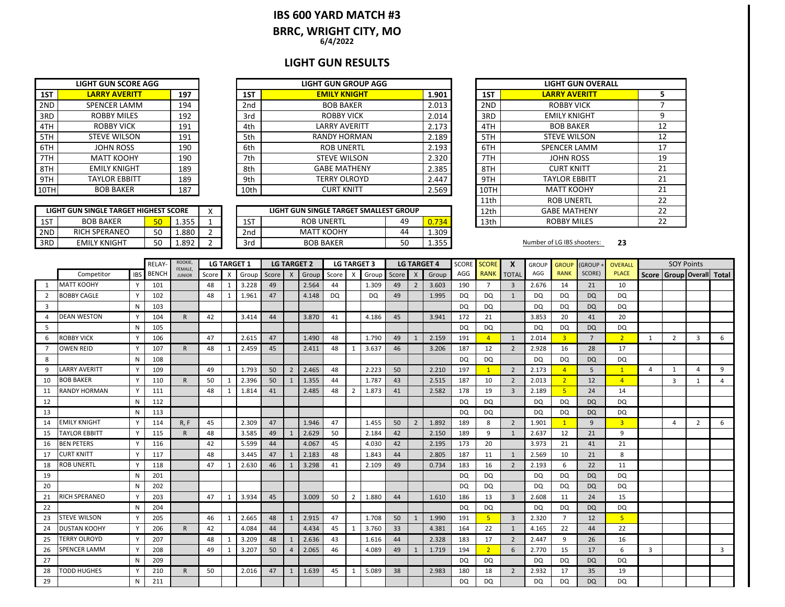### **IBS 600 YARD MATCH #3 6/4/2022 BRRC, WRIGHT CITY, MO**

## **LIGHT GUN RESULTS**

|      | <b>LIGHT GUN SCORE AGG</b> |     |      | <b>LIGHT GUN GROUP AGG</b> |       |      |
|------|----------------------------|-----|------|----------------------------|-------|------|
| 1ST  | <b>LARRY AVERITT</b>       | 197 | 1ST  | <b>EMILY KNIGHT</b>        | 1.901 | 1ST  |
| 2ND  | <b>SPENCER LAMM</b>        | 194 | 2nd  | <b>BOB BAKER</b>           | 2.013 | 2ND  |
| 3RD  | <b>ROBBY MILES</b>         | 192 | 3rd  | <b>ROBBY VICK</b>          | 2.014 | 3RD  |
| 4TH  | <b>ROBBY VICK</b>          | 191 | 4th  | <b>LARRY AVERITT</b>       | 2.173 | 4TH  |
| 5TH  | <b>STEVE WILSON</b>        | 191 | 5th  | RANDY HORMAN               | 2.189 | 5TH  |
| 6TH  | JOHN ROSS                  | 190 | 6th  | <b>ROB UNERTL</b>          | 2.193 | 6TH  |
| 7TH  | <b>MATT KOOHY</b>          | 190 | 7th  | <b>STEVE WILSON</b>        | 2.320 | 7TH  |
| 8TH  | <b>EMILY KNIGHT</b>        | 189 | 8th  | <b>GABE MATHENY</b>        | 2.385 | 8TH  |
| 9TH  | <b>TAYLOR EBBITT</b>       | 189 | 9th  | <b>TERRY OLROYD</b>        | 2.447 | 9TH  |
| 10TH | <b>BOB BAKER</b>           | 187 | 10th | <b>CURT KNITT</b>          | 2.569 | 10TH |

|      | <b>LIGHT GUN SCORE AGG</b> |     |      | <b>LIGHT GUN GROUP AGG</b> |       |      | <b>LIGHT GUN OV</b>  |
|------|----------------------------|-----|------|----------------------------|-------|------|----------------------|
| 1ST  | <b>LARRY AVERITT</b>       | 197 | 1ST  | <b>EMILY KNIGHT</b>        | 1.901 | 1ST  | <b>LARRY AVERITI</b> |
| 2ND  | SPENCER LAMM               | 194 | 2nd  | <b>BOB BAKER</b>           | 2.013 | 2ND  | <b>ROBBY VICK</b>    |
| 3RD  | <b>ROBBY MILES</b>         | 192 | 3rd  | <b>ROBBY VICK</b>          | 2.014 | 3RD  | <b>EMILY KNIGHT</b>  |
| 4TH  | <b>ROBBY VICK</b>          | 191 | 4th  | LARRY AVERITT              | 2.173 | 4TH  | <b>BOB BAKER</b>     |
| 5TH  | <b>STEVE WILSON</b>        | 191 | 5th  | <b>RANDY HORMAN</b>        | 2.189 | 5TH  | <b>STEVE WILSON</b>  |
| 6TH  | <b>JOHN ROSS</b>           | 190 | 6th  | <b>ROB UNERTL</b>          | 2.193 | 6TH  | <b>SPENCER LAMN</b>  |
| 7TH  | <b>MATT KOOHY</b>          | 190 | 7th  | <b>STEVE WILSON</b>        | 2.320 | 7TH  | <b>JOHN ROSS</b>     |
| 8TH  | <b>EMILY KNIGHT</b>        | 189 | 8th  | <b>GABE MATHENY</b>        | 2.385 | 8TH  | <b>CURT KNITT</b>    |
| 9TH  | <b>TAYLOR EBBITT</b>       | 189 | 9th  | TERRY OLROYD               | 2.447 | 9TH  | <b>TAYLOR EBBITT</b> |
| 10TH | <b>BOB BAKER</b>           | 187 | 10th | <b>CURT KNITT</b>          | 2.569 | 10TH | <b>MATT KOOHY</b>    |

|     | LIGHT GUN SINGLE TARGET HIGHEST SCORE |    |              |  |     | LIGHT GUN SINGLE TARGET SMALLEST GROUP |    |       | 12th | <b>GABE MATHENY</b>        |    |
|-----|---------------------------------------|----|--------------|--|-----|----------------------------------------|----|-------|------|----------------------------|----|
| 1ST | <b>BOB BAKER</b>                      | гn | 355<br>⊥.JJJ |  | 1ST | <b>ROB UNERTL</b>                      | 49 | 0.734 | 13th | <b>ROBBY MILES</b>         |    |
| 2ND | <b>RICH SPERANEO</b>                  | 50 | 1.880        |  | 2nd | МАТТ КООНҮ                             | 44 | 1.309 |      |                            |    |
| 3RD | EMILY KNIGHT                          | 50 | 1.892        |  | 3rd | <b>BOB BAKER</b>                       | 50 | 1.355 |      | Number of LG IBS shooters: | 23 |

|      | <b>LIGHT GUN OVERALL</b> |    |
|------|--------------------------|----|
| 1ST  | <b>LARRY AVERITT</b>     | 5  |
| 2ND  | <b>ROBBY VICK</b>        | 7  |
| 3RD  | <b>EMILY KNIGHT</b>      | 9  |
| 4TH  | <b>BOB BAKER</b>         | 12 |
| 5TH  | <b>STEVE WILSON</b>      | 12 |
| 6TH  | <b>SPENCER LAMM</b>      | 17 |
| 7TH  | <b>JOHN ROSS</b>         | 19 |
| 8TH  | <b>CURT KNITT</b>        | 21 |
| 9TH  | <b>TAYLOR EBBITT</b>     | 21 |
| 10TH | <b>MATT KOOHY</b>        | 21 |
| 11th | <b>ROB UNERTL</b>        | 22 |
| 12th | <b>GABE MATHENY</b>      | 22 |
| 13th | <b>ROBBY MILES</b>       | 22 |

|                |                      |            | RELAY-       | ROOKIE,<br>FEMALE. |       | <b>LG TARGET 1</b> |       |       |                | <b>LG TARGET 2</b> |           |                           | <b>LG TARGET 3</b> |           | <b>LG TARGET 4</b> |       | SCORE     | <b>SCORE</b>   | X              | <b>GROUP</b> | <b>GROUF</b>   | (GROUP -       | <b>OVERALL</b> |                         | <b>SOY Points</b>               |                |   |
|----------------|----------------------|------------|--------------|--------------------|-------|--------------------|-------|-------|----------------|--------------------|-----------|---------------------------|--------------------|-----------|--------------------|-------|-----------|----------------|----------------|--------------|----------------|----------------|----------------|-------------------------|---------------------------------|----------------|---|
|                | Competitor           | <b>IBS</b> | <b>BENCH</b> | <b>JUNIOR</b>      | Score | X                  | Group | Score | $\mathsf{X}$   | Group              | Score     | $\boldsymbol{\mathsf{X}}$ | Group              | Score   X |                    | Group | AGG       | <b>RANK</b>    | <b>TOTAL</b>   | AGG          | <b>RANK</b>    | SCORE)         | <b>PLACE</b>   |                         | Score   Group   Overall   Total |                |   |
|                | <b>MATT KOOHY</b>    | Y          | 101          |                    | 48    |                    | 3.228 | 49    |                | 2.564              | 44        |                           | 1.309              | 49        | $\overline{2}$     | 3.603 | 190       | $\overline{7}$ | 3              | 2.676        | 14             | 21             | 10             |                         |                                 |                |   |
| 2              | <b>BOBBY CAGLE</b>   | Y          | 102          |                    | 48    |                    | 1.961 | 47    |                | 4.148              | <b>DQ</b> |                           | DQ                 | 49        |                    | 1.995 | DQ        | <b>DQ</b>      | 1              | DQ           | DQ             | <b>DQ</b>      | DQ             |                         |                                 |                |   |
| 3              |                      | N          | 103          |                    |       |                    |       |       |                |                    |           |                           |                    |           |                    |       | <b>DQ</b> | <b>DQ</b>      |                | <b>DQ</b>    | <b>DQ</b>      | <b>DQ</b>      | <b>DQ</b>      |                         |                                 |                |   |
| 4              | <b>DEAN WESTON</b>   | <b>V</b>   | 104          | $\mathsf{R}$       | 42    |                    | 3.414 | 44    |                | 3.870              | 41        |                           | 4.186              | 45        |                    | 3.941 | 172       | 21             |                | 3.853        | 20             | 41             | 20             |                         |                                 |                |   |
| 5              |                      | N          | 105          |                    |       |                    |       |       |                |                    |           |                           |                    |           |                    |       | <b>DQ</b> | <b>DQ</b>      |                | <b>DQ</b>    | <b>DQ</b>      | <b>DQ</b>      | <b>DQ</b>      |                         |                                 |                |   |
| 6              | <b>ROBBY VICK</b>    | Y          | 106          |                    | 47    |                    | 2.615 | 47    |                | 1.490              | 48        |                           | 1.790              | 49        | $\mathbf{1}$       | 2.159 | 191       | $\overline{4}$ | 1              | 2.014        | $\overline{3}$ | $\overline{7}$ | $\overline{2}$ | 1                       | $\overline{2}$                  | 3              | 6 |
| $\overline{7}$ | <b>OWEN REID</b>     | Y          | 107          | $\mathsf{R}$       | 48    | 1                  | 2.459 | 45    |                | 2.411              | 48        | -1                        | 3.637              | 46        |                    | 3.206 | 187       | 12             | $\overline{2}$ | 2.928        | 16             | 28             | 17             |                         |                                 |                |   |
| 8              |                      | N          | 108          |                    |       |                    |       |       |                |                    |           |                           |                    |           |                    |       | DQ        | <b>DQ</b>      |                | <b>DQ</b>    | <b>DQ</b>      | <b>DQ</b>      | DQ             |                         |                                 |                |   |
| 9              | <b>LARRY AVERITT</b> | Y          | 109          |                    | 49    |                    | 1.793 | 50    | $\overline{2}$ | 2.465              | 48        |                           | 2.223              | 50        |                    | 2.210 | 197       | 1              | $\overline{2}$ | 2.173        | $\overline{4}$ | 5              | $\mathbf{1}$   | $\overline{4}$          | 1                               | 4              | 9 |
| 10             | <b>BOB BAKER</b>     | Y          | 110          | $\mathsf{R}$       | 50    | 1                  | 2.396 | 50    | $\mathbf{1}$   | 1.355              | 44        |                           | 1.787              | 43        |                    | 2.515 | 187       | 10             | $\overline{2}$ | 2.013        | $\overline{2}$ | 12             | $\overline{4}$ |                         | $\overline{3}$                  | $\mathbf{1}$   | 4 |
| 11             | <b>RANDY HORMAN</b>  | Y          | 111          |                    | 48    |                    | 1.814 | 41    |                | 2.485              | 48        | $\overline{2}$            | 1.873              | 41        |                    | 2.582 | 178       | 19             | $\overline{3}$ | 2.189        | -5             | 24             | 14             |                         |                                 |                |   |
| 12             |                      | N          | 112          |                    |       |                    |       |       |                |                    |           |                           |                    |           |                    |       | DQ        | <b>DQ</b>      |                | DQ           | <b>DQ</b>      | <b>DQ</b>      | DQ             |                         |                                 |                |   |
| 13             |                      | N          | 113          |                    |       |                    |       |       |                |                    |           |                           |                    |           |                    |       | DQ        | <b>DQ</b>      |                | DQ           | DQ             | <b>DQ</b>      | DQ             |                         |                                 |                |   |
| 14             | <b>EMILY KNIGHT</b>  | Y          | 114          | R, F               | 45    |                    | 2.309 | 47    |                | 1.946              | 47        |                           | 1.455              | 50        | $\overline{2}$     | 1.892 | 189       | 8              | $\overline{2}$ | 1.901        | $\mathbf{1}$   | 9              | $\overline{3}$ |                         | $\overline{a}$                  | $\overline{2}$ | 6 |
| 15             | <b>TAYLOR EBBITT</b> | Y          | 115          | $\mathsf{R}$       | 48    |                    | 3.585 | 49    | $\mathbf{1}$   | 2.629              | 50        |                           | 2.184              | 42        |                    | 2.150 | 189       | 9              |                | 2.637        | 12             | 21             | 9              |                         |                                 |                |   |
| 16             | <b>BEN PETERS</b>    | Y          | 116          |                    | 42    |                    | 5.599 | 44    |                | 4.067              | 45        |                           | 4.030              | 42        |                    | 2.195 | 173       | 20             |                | 3.973        | 21             | 41             | 21             |                         |                                 |                |   |
| 17             | <b>CURT KNITT</b>    | v          | 117          |                    | 48    |                    | 3.445 | 47    | $\mathbf{1}$   | 2.183              | 48        |                           | 1.843              | 44        |                    | 2.805 | 187       | 11             | 1              | 2.569        | 10             | 21             | 8              |                         |                                 |                |   |
| 18             | <b>ROB UNERTL</b>    | Y          | 118          |                    | 47    |                    | 2.630 | 46    |                | 3.298              | 41        |                           | 2.109              | 49        |                    | 0.734 | 183       | 16             | $\overline{2}$ | 2.193        | 6              | 22             | 11             |                         |                                 |                |   |
| 19             |                      | N          | 201          |                    |       |                    |       |       |                |                    |           |                           |                    |           |                    |       | DQ        | <b>DQ</b>      |                | DQ           | DQ             | <b>DQ</b>      | DQ             |                         |                                 |                |   |
| 20             |                      | N          | 202          |                    |       |                    |       |       |                |                    |           |                           |                    |           |                    |       | DQ        | <b>DQ</b>      |                | <b>DQ</b>    | <b>DQ</b>      | <b>DQ</b>      | DQ             |                         |                                 |                |   |
| 21             | RICH SPERANEO        | Υ          | 203          |                    | 47    | $\mathbf 1$        | 3.934 | 45    |                | 3.009              | 50        | $\overline{2}$            | 1.880              | 44        |                    | 1.610 | 186       | 13             | $\overline{3}$ | 2.608        | 11             | 24             | 15             |                         |                                 |                |   |
| 22             |                      | N          | 204          |                    |       |                    |       |       |                |                    |           |                           |                    |           |                    |       | DQ        | <b>DQ</b>      |                | <b>DQ</b>    | <b>DQ</b>      | <b>DQ</b>      | DQ             |                         |                                 |                |   |
| 23             | <b>STEVE WILSON</b>  | Y          | 205          |                    | 46    | 1                  | 2.665 | 48    | 1              | 2.915              | 47        |                           | 1.708              | 50        | $\mathbf{1}$       | 1.990 | 191       | 5              | $\overline{3}$ | 2.320        | $\overline{7}$ | 12             | 5 <sup>1</sup> |                         |                                 |                |   |
| 24             | <b>DUSTAN KOOHY</b>  | Y          | 206          | R.                 | 42    |                    | 4.084 | 44    |                | 4.434              | 45        |                           | 3.760              | 33        |                    | 4.381 | 164       | 22             |                | 4.165        | 22             | 44             | 22             |                         |                                 |                |   |
| 25             | <b>TERRY OLROYD</b>  | Y          | 207          |                    | 48    |                    | 3.209 | 48    | $\mathbf{1}$   | 2.636              | 43        |                           | 1.616              | 44        |                    | 2.328 | 183       | 17             | $\overline{2}$ | 2.447        | 9              | 26             | 16             |                         |                                 |                |   |
| 26             | <b>SPENCER LAMM</b>  | Y          | 208          |                    | 49    |                    | 3.207 | 50    | $\overline{4}$ | 2.065              | 46        |                           | 4.089              | 49        | 1                  | 1.719 | 194       | 2 <sup>2</sup> | 6              | 2.770        | 15             | 17             | 6              | $\overline{\mathbf{3}}$ |                                 |                | 3 |
| 27             |                      | N          | 209          |                    |       |                    |       |       |                |                    |           |                           |                    |           |                    |       | DQ        | <b>DQ</b>      |                | DQ           | DQ             | <b>DQ</b>      | DQ             |                         |                                 |                |   |
| 28             | <b>TODD HUGHES</b>   | Y          | 210          | R                  | 50    |                    | 2.016 | 47    | 1              | 1.639              | 45        | -1                        | 5.089              | 38        |                    | 2.983 | 180       | 18             | $\overline{2}$ | 2.932        | 17             | 35             | 19             |                         |                                 |                |   |
| 29             |                      | N          | 211          |                    |       |                    |       |       |                |                    |           |                           |                    |           |                    |       | <b>DQ</b> | <b>DQ</b>      |                | <b>DQ</b>    | DQ             | <b>DQ</b>      | <b>DQ</b>      |                         |                                 |                |   |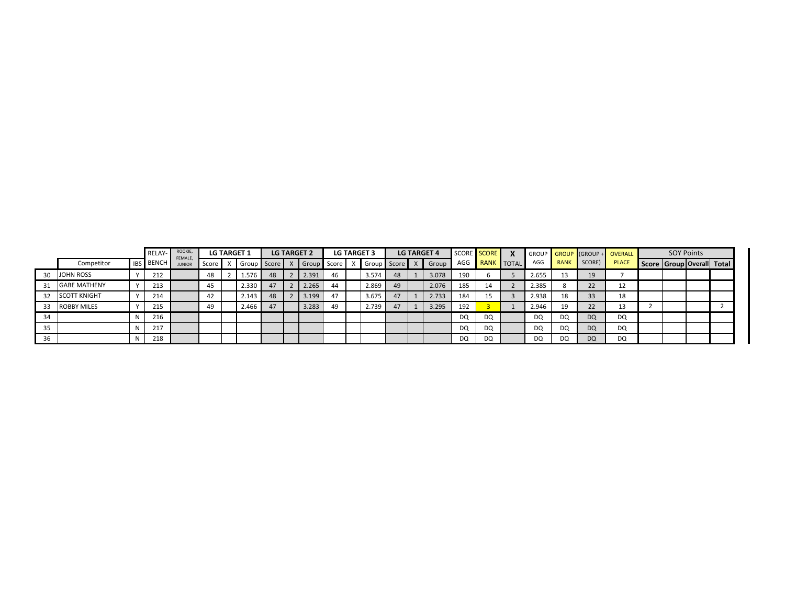|    |                     |            | RELAY-       | ROOKIE,<br>FEMALE. |         | <b>LG TARGET 1</b> |             |    | <b>LG TARGET 2</b> |    | <b>LG TARGET 3</b> |    | <b>LG TARGET 4</b> |     | SCORE SCORE                 |       |             |           | GROUP GROUP GROUP + OVERALL | <b>SOY Points</b>         |  |
|----|---------------------|------------|--------------|--------------------|---------|--------------------|-------------|----|--------------------|----|--------------------|----|--------------------|-----|-----------------------------|-------|-------------|-----------|-----------------------------|---------------------------|--|
|    | Competitor          | <b>IBS</b> | <b>BENCH</b> | <b>JUNIO</b>       | Score I |                    | Group Score |    | X Group Score X    |    | Group Score X      |    | Group              | AGG | J <mark>RANK</mark> TOTAL L | AGG   | <b>RANK</b> | SCORE)    | <b>PLACE</b>                | Score Group Overall Total |  |
| 30 | JOHN ROSS           |            | 212          |                    | 48      |                    | 1.576       | 48 | 2.391              | 46 | 3.574              | 48 | 3.078              | 190 |                             | 2.655 | 13          | 19        |                             |                           |  |
| 31 | <b>GABE MATHENY</b> |            | 213          |                    | 45      |                    | 2.330       | 47 | 2.265              | 44 | 2.869              | 49 | 2.076              | 185 | 14                          | 2.385 |             | 22        | ᅩ                           |                           |  |
| 32 | <b>SCOTT KNIGHT</b> |            | 214          |                    | 42      |                    | 2.143       | 48 | 3.199              | 47 | 3.675              |    | 2.733              | 184 | 15                          | 2.938 | 18          | 33        | 18                          |                           |  |
|    | ROBBY MILES         |            | 215          |                    | 49      |                    | 2.466       | 47 | 3.283              | 49 | 2.739              |    | 3.295              | 192 |                             | 2.946 | 19          | วว<br>22  | 13                          |                           |  |
| 34 |                     |            | 216          |                    |         |                    |             |    |                    |    |                    |    |                    | DQ  | DQ                          | DQ    | DQ          | <b>DQ</b> | DQ                          |                           |  |
| 35 |                     |            | 217          |                    |         |                    |             |    |                    |    |                    |    |                    | DQ  | DQ                          | DQ    | DQ          | <b>DQ</b> | DQ                          |                           |  |
| 36 |                     |            | 218          |                    |         |                    |             |    |                    |    |                    |    |                    | DQ  | DQ                          | DQ    | DQ          | <b>DQ</b> | DQ                          |                           |  |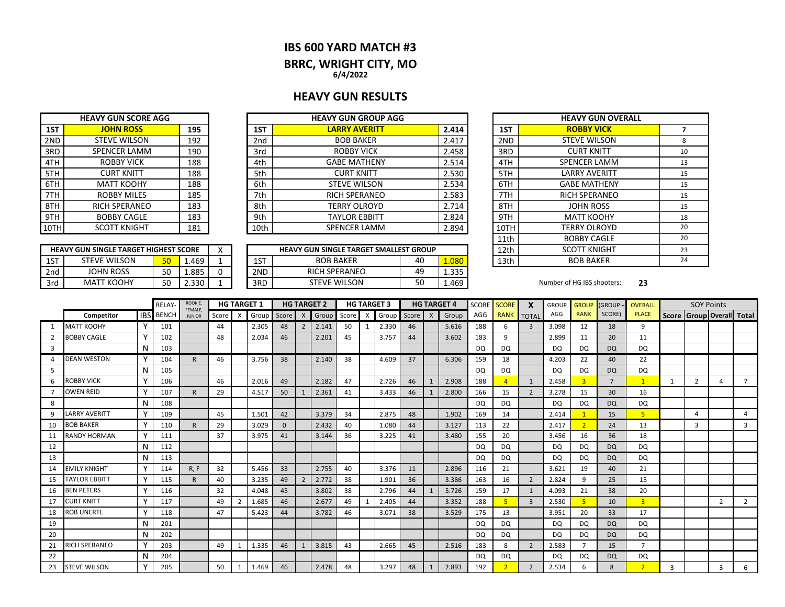### **IBS 600 YARD MATCH #3**

# **BRRC, WRIGHT CITY, MO**

**6/4/2022**

## **HEAVY GUN RESULTS**

|      | <b>HEAVY GUN SCORE AGG</b>                   |                                               |      | <b>HEAVY GUN GROUP AGG</b> |             |      |  |
|------|----------------------------------------------|-----------------------------------------------|------|----------------------------|-------------|------|--|
| 1ST  | <b>JOHN ROSS</b>                             | 195                                           | 1ST  | <b>LARRY AVERITT</b>       | 2.414       | 1ST  |  |
| 2ND  | <b>STEVE WILSON</b>                          | 192                                           | 2nd  | <b>BOB BAKER</b>           | 2.417       | 2ND  |  |
| 3RD  | <b>SPENCER LAMM</b>                          | 190                                           | 3rd  | <b>ROBBY VICK</b>          | 2.458       | 3RD  |  |
| 4TH  | <b>ROBBY VICK</b>                            | 188                                           | 4th  | <b>GABE MATHENY</b>        | 2.514       | 4TH  |  |
| 5TH  | <b>CURT KNITT</b>                            | 188                                           | 5th  | <b>CURT KNITT</b>          | 2.530       | 5TH  |  |
| 6TH  | <b>MATT KOOHY</b>                            | 188                                           | 6th  | <b>STEVE WILSON</b>        | 2.534       | 6TH  |  |
| 7TH. | <b>ROBBY MILES</b>                           | 185                                           | 7th. | <b>RICH SPERANEO</b>       | 2.583       | 7TH  |  |
| 8TH  | <b>RICH SPERANEO</b>                         | 183                                           | 8th  | <b>TERRY OLROYD</b>        | 2.714       | 8TH  |  |
| 9TH  | <b>BOBBY CAGLE</b>                           | 183                                           | 9th  | <b>TAYLOR EBBITT</b>       | 2.824       | 9TH  |  |
| 10TH | <b>SCOTT KNIGHT</b>                          | 181                                           | 10th | <b>SPENCER LAMM</b>        | 2.894       | 10TH |  |
|      |                                              |                                               |      |                            |             | 11th |  |
|      | <b>HEAVY GUN SINGLE TARGET HIGHEST SCORE</b> | <b>HEAVY GUN SINGLE TARGET SMALLEST GROUP</b> | 12th |                            |             |      |  |
| 1ST  | <b>STEVE WILSON</b>                          | 50<br>1.469                                   | 1ST  | <b>BOB BAKER</b>           | 40<br>1.080 | 13th |  |

|     | <b>HEAVY GUN SINGLE TARGET HIGHEST SCORE</b> |          |       | $\lambda$ |     | <b>HEAVY GUN SINGLE TARGET SMALLEST GROUP</b> |           |               | 12th | KNIGHT<br><b>SCOTT</b>     |    |
|-----|----------------------------------------------|----------|-------|-----------|-----|-----------------------------------------------|-----------|---------------|------|----------------------------|----|
| 1ST | <b>STEVE WILSON</b>                          | 50       | 1.469 |           | 1ST | <b>BOB BAKER</b>                              | 40        | .080          | 13th | <b>BOB BAKER</b>           |    |
| 2nd | JOHN ROSS                                    | $\Gamma$ | 1.885 |           | 2ND | <b>RICH SPERANEO</b>                          | 49        | 225<br>⊥. JJJ |      |                            |    |
| 3rd | <b>MATT KOOHY</b>                            | $\Gamma$ | 2.330 |           | 3RD | <b>STEVE WILSON</b>                           | r o<br>JU | 1.469         |      | Number of HG IBS shooters: | 23 |

| <b>IEAVY GUN GROUP AGG</b>     |    |       |                    | <b>HEAVY GUN OVERALL</b> |    |
|--------------------------------|----|-------|--------------------|--------------------------|----|
| <b>LARRY AVERITT</b>           |    | 2.414 | 1ST                | <b>ROBBY VICK</b>        | 7  |
| <b>BOB BAKER</b>               |    | 2.417 | 2ND                | <b>STEVE WILSON</b>      | 8  |
| <b>ROBBY VICK</b>              |    | 2.458 | 3RD                | <b>CURT KNITT</b>        | 10 |
| <b>GABE MATHENY</b>            |    | 2.514 | 4TH                | <b>SPENCER LAMM</b>      | 13 |
| <b>CURT KNITT</b>              |    | 2.530 | 5TH                | <b>LARRY AVERITT</b>     | 15 |
| <b>STEVE WILSON</b>            |    | 2.534 | 6TH                | <b>GABE MATHENY</b>      | 15 |
| <b>RICH SPERANEO</b>           |    | 2.583 | 7TH                | <b>RICH SPERANEO</b>     | 15 |
| <b>TERRY OLROYD</b>            |    | 2.714 | 8TH                | <b>JOHN ROSS</b>         | 15 |
| <b>TAYLOR EBBITT</b>           |    | 2.824 | 9TH                | <b>MATT KOOHY</b>        | 18 |
| <b>SPENCER LAMM</b>            |    | 2.894 | 10TH               | <b>TERRY OLROYD</b>      | 20 |
|                                |    | 11th  | <b>BOBBY CAGLE</b> | 20                       |    |
| N SINGLE TARGET SMALLEST GROUP |    |       | 12th               | <b>SCOTT KNIGHT</b>      | 23 |
| BOB BAKER                      | 40 | 1.080 | 13th               | <b>BOB BAKER</b>         | 24 |

|    |                      |          | <b>RELAY</b>     | ROOKIE,<br>FEMALE, |       | <b>HG TARGET 1</b>        |       |              |                  | <b>HG TARGET 2</b> |       |   | <b>HG TARGET 3</b> |       |   | <b>HG TARGET 4</b> | SCORE     | <b>SCORE</b>   | X              | <b>GROUP</b> | <b>GROUP</b>            | (GROUP+        | <b>OVERALL</b> |                | <b>SOY Points</b> |                           |                |
|----|----------------------|----------|------------------|--------------------|-------|---------------------------|-------|--------------|------------------|--------------------|-------|---|--------------------|-------|---|--------------------|-----------|----------------|----------------|--------------|-------------------------|----------------|----------------|----------------|-------------------|---------------------------|----------------|
|    | Competitor           |          | <b>IBS</b> BENCH | <b>JUNIOR</b>      | Score | $\boldsymbol{\mathsf{X}}$ | Group | Score        | $\boldsymbol{X}$ | Group              | Score | X | Group              | Score | X | Group              | AGG       | <b>RANK</b>    | <b>TOTAL</b>   | AGG          | <b>RANK</b>             | SCORE)         | <b>PLACE</b>   |                |                   | Score Group Overall Total |                |
|    | <b>MATT KOOHY</b>    | Υ        | 101              |                    | 44    |                           | 2.305 | 48           | $\overline{2}$   | 2.141              | 50    |   | 2.330              | 46    |   | 5.616              | 188       | 6              | 3              | 3.098        | 12                      | 18             | 9              |                |                   |                           |                |
|    | <b>BOBBY CAGLE</b>   |          | 102              |                    | 48    |                           | 2.034 | 46           |                  | 2.201              | 45    |   | 3.757              | 44    |   | 3.602              | 183       | 9              |                | 2.899        | 11                      | 20             | 11             |                |                   |                           |                |
| 3  |                      | N        | 103              |                    |       |                           |       |              |                  |                    |       |   |                    |       |   |                    | <b>DQ</b> | <b>DQ</b>      |                | DQ           | DQ                      | <b>DQ</b>      | DQ             |                |                   |                           |                |
|    | <b>DEAN WESTON</b>   | Y        | 104              | R.                 | 46    |                           | 3.756 | 38           |                  | 2.140              | 38    |   | 4.609              | 37    |   | 6.306              | 159       | 18             |                | 4.203        | 22                      | 40             | 22             |                |                   |                           |                |
| 5  |                      |          | 105              |                    |       |                           |       |              |                  |                    |       |   |                    |       |   |                    | <b>DQ</b> | <b>DQ</b>      |                | DQ.          | <b>DQ</b>               | <b>DQ</b>      | <b>DQ</b>      |                |                   |                           |                |
| 6  | ROBBY VICK           |          | 106              |                    | 46    |                           | 2.016 | 49           |                  | 2.182              | 47    |   | 2.726              | 46    |   | 2.908              | 188       | $\overline{4}$ | $\mathbf{1}$   | 2.458        | $\overline{\mathbf{3}}$ | $\overline{7}$ | 1              |                | $\overline{2}$    |                           | $\overline{7}$ |
|    | <b>OWEN REID</b>     |          | 107              | $\mathsf{R}$       | 29    |                           | 4.517 | 50           | 1                | 2.361              | 41    |   | 3.433              | 46    |   | 2.800              | 166       | 15             | $\overline{2}$ | 3.278        | 15                      | 30             | 16             |                |                   |                           |                |
| 8  |                      | N        | 108              |                    |       |                           |       |              |                  |                    |       |   |                    |       |   |                    | DQ.       | <b>DQ</b>      |                | DQ           | <b>DQ</b>               | <b>DQ</b>      | <b>DQ</b>      |                |                   |                           |                |
| 9  | <b>LARRY AVERITT</b> | Y        | 109              |                    | 45    |                           | 1.501 | 42           |                  | 3.379              | 34    |   | 2.875              | 48    |   | 1.902              | 169       | 14             |                | 2.414        |                         | 15             |                |                | $\Delta$          |                           | 4              |
| 10 | <b>BOB BAKER</b>     |          | 110              | R                  | 29    |                           | 3.029 | $\mathbf{0}$ |                  | 2.432              | 40    |   | 1.080              | 44    |   | 3.127              | 113       | 22             |                | 2.417        | $\overline{2}$          | 24             | 13             |                | 3                 |                           | 3              |
| 11 | <b>RANDY HORMAN</b>  | Y        | 111              |                    | 37    |                           | 3.975 | 41           |                  | 3.144              | 36    |   | 3.225              | 41    |   | 3.480              | 155       | 20             |                | 3.456        | 16                      | 36             | 18             |                |                   |                           |                |
| 12 |                      | N        | 112              |                    |       |                           |       |              |                  |                    |       |   |                    |       |   |                    | DQ        | <b>DQ</b>      |                | <b>DQ</b>    | <b>DQ</b>               | <b>DQ</b>      | <b>DQ</b>      |                |                   |                           |                |
| 13 |                      | N        | 113              |                    |       |                           |       |              |                  |                    |       |   |                    |       |   |                    | DQ        | <b>DQ</b>      |                | <b>DQ</b>    | DQ                      | <b>DQ</b>      | <b>DQ</b>      |                |                   |                           |                |
| 14 | <b>EMILY KNIGHT</b>  |          | 114              | R, F               | 32    |                           | 5.456 | 33           |                  | 2.755              | 40    |   | 3.376              | 11    |   | 2.896              | 116       | 21             |                | 3.621        | 19                      | 40             | 21             |                |                   |                           |                |
| 15 | TAYLOR EBBITT        |          | 115              | R.                 | 40    |                           | 3.235 | 49           | $\overline{2}$   | 2.772              | 38    |   | 1.901              | 36    |   | 3.386              | 163       | 16             | $\overline{2}$ | 2.824        | q                       | 25             | 15             |                |                   |                           |                |
| 16 | <b>BEN PETERS</b>    |          | 116              |                    | 32    |                           | 4.048 | 45           |                  | 3.802              | 38    |   | 2.796              | 44    |   | 5.726              | 159       | 17             | $\mathbf{1}$   | 4.093        | 21                      | 38             | 20             |                |                   |                           |                |
| 17 | <b>CURT KNITT</b>    |          | 117              |                    | 49    | $\overline{2}$            | 1.685 | 46           |                  | 2.677              | 49    |   | 2.405              | 44    |   | 3.352              | 188       | 5              | $\overline{3}$ | 2.530        | 5                       | 10             | 3 <sup>1</sup> |                |                   | $\overline{2}$            | $\overline{2}$ |
| 18 | <b>ROB UNERTL</b>    |          | 118              |                    | 47    |                           | 5.423 | 44           |                  | 3.782              | 46    |   | 3.071              | 38    |   | 3.529              | 175       | 13             |                | 3.951        | 20                      | 33             | 17             |                |                   |                           |                |
| 19 |                      | N        | 201              |                    |       |                           |       |              |                  |                    |       |   |                    |       |   |                    | DQ        | DQ             |                | DQ           | DQ                      | <b>DQ</b>      | <b>DQ</b>      |                |                   |                           |                |
| 20 |                      |          | 202              |                    |       |                           |       |              |                  |                    |       |   |                    |       |   |                    | <b>DQ</b> | <b>DQ</b>      |                | <b>DQ</b>    | <b>DQ</b>               | <b>DQ</b>      | DQ             |                |                   |                           |                |
| 21 | RICH SPERANEO        | $\vee$   | 203              |                    | 49    |                           | 1.335 | 46           | 1                | 3.815              | 43    |   | 2.665              | 45    |   | 2.516              | 183       | 8              | $\overline{2}$ | 2.583        | $\mathbf{z}$            | 15             | $\overline{7}$ |                |                   |                           |                |
| 22 |                      | N        | 204              |                    |       |                           |       |              |                  |                    |       |   |                    |       |   |                    | <b>DQ</b> | <b>DQ</b>      |                | <b>DQ</b>    | DQ                      | <b>DQ</b>      | <b>DQ</b>      |                |                   |                           |                |
| 23 | <b>STEVE WILSON</b>  | <b>V</b> | 205              |                    | 50    | $\mathbf{1}$              | 1.469 | 46           |                  | 2.478              | 48    |   | 3.297              | 48    |   | 2.893              | 192       | $\mathcal{D}$  | $\mathcal{L}$  | 2.534        | 6                       | $\mathbf{8}$   | $\overline{2}$ | $\overline{3}$ |                   | 3                         | 6              |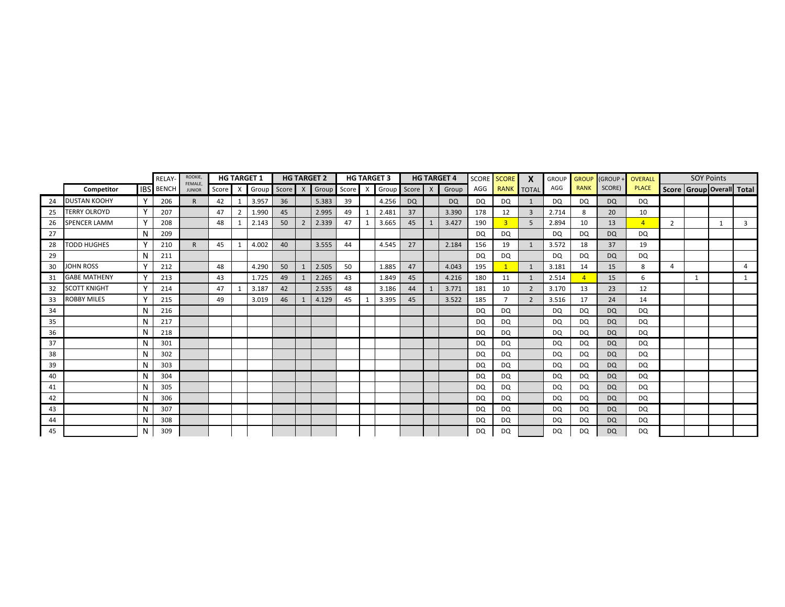|    |                     |              | RELAY-           | ROOKIE,<br>FEMALE. |    |                | <b>HG TARGET 1</b> |       |                | <b>HG TARGET 2</b>          |    | <b>HG TARGET 3</b> |           | <b>HG TARGET 4</b> |           | SCORE SCORE    | X              | <b>GROUP</b> | <b>GROUP</b> | (GROUP+   | <b>OVERALL</b> |                | <b>SOY Points</b>         |   |   |
|----|---------------------|--------------|------------------|--------------------|----|----------------|--------------------|-------|----------------|-----------------------------|----|--------------------|-----------|--------------------|-----------|----------------|----------------|--------------|--------------|-----------|----------------|----------------|---------------------------|---|---|
|    | Competitor          |              | <b>IBS</b> BENCH | <b>JUNIOR</b>      |    |                | Score X Group      | Score | X              | Group Score X Group Score X |    |                    |           | Group              | AGG       | RANK TOTAL     |                | AGG          | <b>RANK</b>  | SCORE)    | <b>PLACE</b>   |                | Score Group Overall Total |   |   |
| 24 | <b>DUSTAN KOOHY</b> |              | 206              | R.                 | 42 |                | 3.957              | 36    |                | 5.383                       | 39 | 4.256              | <b>DQ</b> | <b>DQ</b>          | DQ        | DQ             |                | DQ           | DQ           | <b>DQ</b> | DQ             |                |                           |   |   |
| 25 | <b>TERRY OLROYD</b> |              | 207              |                    | 47 | $\overline{2}$ | 1.990              | 45    |                | 2.995                       | 49 | 2.481              | 37        | 3.390              | 178       | 12             | $\overline{3}$ | 2.714        | 8            | 20        | 10             |                |                           |   |   |
| 26 | <b>SPENCER LAMM</b> |              | 208              |                    | 48 |                | 2.143              | 50    | $\overline{2}$ | 2.339                       | 47 | 3.665              | 45        | 3.427              | 190       |                | 5              | 2.894        | 10           | 13        | $\overline{4}$ | $\overline{2}$ |                           | 1 | 3 |
| 27 |                     | N            | 209              |                    |    |                |                    |       |                |                             |    |                    |           |                    | DQ        | DQ             |                | DQ           | DQ           | <b>DQ</b> | DQ             |                |                           |   |   |
| 28 | <b>TODD HUGHES</b>  |              | 210              | $\mathsf{R}$       | 45 |                | 4.002              | 40    |                | 3.555                       | 44 | 4.545              | 27        | 2.184              | 156       | 19             | 1              | 3.572        | 18           | 37        | 19             |                |                           |   |   |
| 29 |                     | N            | 211              |                    |    |                |                    |       |                |                             |    |                    |           |                    | DQ        | DQ             |                | DQ           | <b>DQ</b>    | <b>DQ</b> | DQ             |                |                           |   |   |
| 30 | <b>JOHN ROSS</b>    |              | 212              |                    | 48 |                | 4.290              | 50    |                | 2.505                       | 50 | 1.885              | 47        | 4.043              | 195       |                | 1              | 3.181        | 14           | 15        | 8              | 4              |                           |   | 4 |
| 31 | <b>GABE MATHENY</b> |              | 213              |                    | 43 |                | 1.725              | 49    |                | 2.265                       | 43 | 1.849              | 45        | 4.216              | 180       | 11             | 1              | 2.514        |              | 15        | 6              |                | $\mathbf{1}$              |   | 1 |
| 32 | <b>SCOTT KNIGHT</b> | $\checkmark$ | 214              |                    | 47 |                | 3.187              | 42    |                | 2.535                       | 48 | 3.186              | 44        | 3.771              | 181       | 10             | $\overline{2}$ | 3.170        | 13           | 23        | 12             |                |                           |   |   |
| 33 | <b>ROBBY MILES</b>  | $\mathbf v$  | 215              |                    | 49 |                | 3.019              | 46    |                | 4.129                       | 45 | 3.395              | 45        | 3.522              | 185       | $\overline{7}$ | 2              | 3.516        | 17           | 24        | 14             |                |                           |   |   |
| 34 |                     | N            | 216              |                    |    |                |                    |       |                |                             |    |                    |           |                    | DQ        | DQ             |                | DQ           | DQ           | <b>DQ</b> | DQ             |                |                           |   |   |
| 35 |                     | N            | 217              |                    |    |                |                    |       |                |                             |    |                    |           |                    | DQ        | DQ             |                | DQ           | DQ           | <b>DQ</b> | <b>DQ</b>      |                |                           |   |   |
| 36 |                     | N            | 218              |                    |    |                |                    |       |                |                             |    |                    |           |                    | DQ        | DQ             |                | DQ           | <b>DQ</b>    | <b>DQ</b> | <b>DQ</b>      |                |                           |   |   |
| 37 |                     | N            | 301              |                    |    |                |                    |       |                |                             |    |                    |           |                    | DQ        | DQ             |                | DQ           | DQ           | <b>DQ</b> | DQ             |                |                           |   |   |
| 38 |                     | N            | 302              |                    |    |                |                    |       |                |                             |    |                    |           |                    | DQ        | DQ             |                | DQ.          | <b>DQ</b>    | <b>DQ</b> | DQ             |                |                           |   |   |
| 39 |                     | N            | 303              |                    |    |                |                    |       |                |                             |    |                    |           |                    | DQ        | DQ             |                | DQ           | DQ           | <b>DQ</b> | DQ             |                |                           |   |   |
| 40 |                     | N            | 304              |                    |    |                |                    |       |                |                             |    |                    |           |                    | DQ        | <b>DQ</b>      |                | DQ           | <b>DQ</b>    | <b>DQ</b> | <b>DQ</b>      |                |                           |   |   |
| 41 |                     | N            | 305              |                    |    |                |                    |       |                |                             |    |                    |           |                    | <b>DQ</b> | DQ             |                | <b>DQ</b>    | DQ           | <b>DQ</b> | DQ             |                |                           |   |   |
| 42 |                     | N            | 306              |                    |    |                |                    |       |                |                             |    |                    |           |                    | <b>DQ</b> | DQ             |                | DQ           | DQ.          | <b>DQ</b> | DQ             |                |                           |   |   |
| 43 |                     | N            | 307              |                    |    |                |                    |       |                |                             |    |                    |           |                    | DQ        | DQ             |                | DQ           | DQ           | <b>DQ</b> | DQ.            |                |                           |   |   |
| 44 |                     | N            | 308              |                    |    |                |                    |       |                |                             |    |                    |           |                    | DQ        | DQ             |                | DQ           | DQ           | <b>DQ</b> | DQ             |                |                           |   |   |
| 45 |                     | N            | 309              |                    |    |                |                    |       |                |                             |    |                    |           |                    | <b>DQ</b> | DQ             |                | <b>DQ</b>    | <b>DQ</b>    | <b>DQ</b> | <b>DQ</b>      |                |                           |   |   |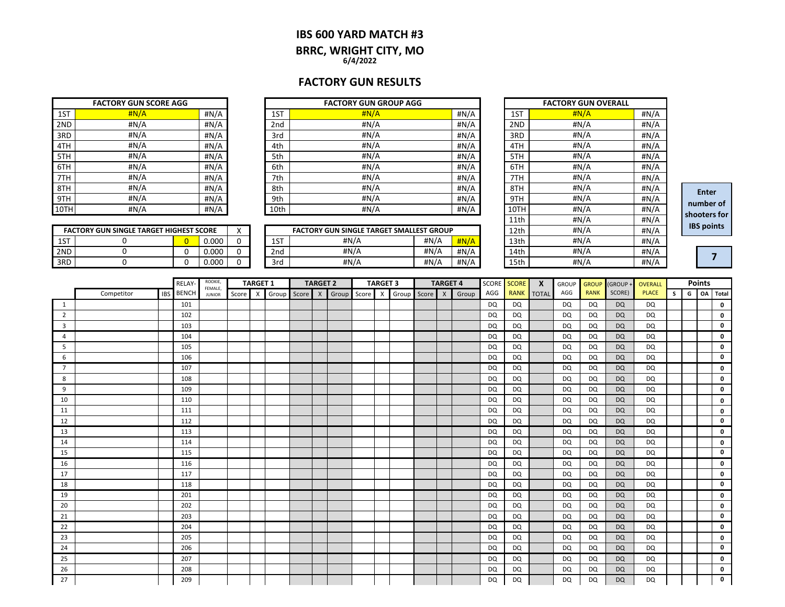### **IBS 600 YARD MATCH #3 BRRC, WRIGHT CITY, MO 6/4/2022**

## **FACTORY GUN RESULTS**

|      | <b>FACTORY GUN SCORE AGG</b> |      |
|------|------------------------------|------|
| 1ST  | H N/A                        | #N/A |
| 2ND  | #N/A                         | #N/A |
| 3RD  | #N/A                         | #N/A |
| 4TH  | #N/A                         | #N/A |
| 5TH  | #N/A                         | #N/A |
| 6TH  | #N/A                         | #N/A |
| 7TH  | #N/A                         | #N/A |
| 8TH  | #N/A                         | #N/A |
| 9TH  | #N/A                         | #N/A |
| 10TH | #N/A                         | #N/A |

|      | <b>FACTORY GUN SCORE AGG</b> |      |      | <b>FACTORY GUN GROUP AGG</b> |       |      | <b>FACTORY GUN OVERALL</b> |      |
|------|------------------------------|------|------|------------------------------|-------|------|----------------------------|------|
| 1ST  | H N/A                        | #N/A | 1ST  | H N/A                        | #N/A  | 1ST  | H N/A                      | #N/A |
| 2ND  | #N/A                         | #N/A | 2nd  | #N/A                         | H N/A | 2ND  | #N/A                       | #N/A |
| 3RD  | #N/A                         | #N/A | 3rd  | #N/A                         | #N/A  | 3RD  | #N/A                       | #N/A |
| 4TH  | #N/A                         | #N/A | 4th  | #N/A                         | #N/A  | 4TH  | #N/A                       | #N/A |
| 5TH  | #N/A                         | #N/A | 5th  | #N/A                         | #N/A  | 5TH  | #N/A                       | #N/A |
| 6TH  | #N/A                         | #N/A | 6th  | #N/A                         | #N/A  | 6TH  | #N/A                       | #N/A |
| 7TH  | #N/A                         | #N/A | 7th  | #N/A                         | H N/A | 7TH  | #N/A                       | #N/A |
| 8TH  | #N/A                         | #N/A | 8th  | #N/A                         | #N/A  | 8TH  | #N/A                       | #N/A |
| 9TH  | #N/A                         | #N/A | 9th  | #N/A                         | H N/A | 9TH  | #N/A                       | #N/A |
| 10TH | #N/A                         | #N/A | 10th | #N/A                         | #N/A  | 10TH | #N/A                       | #N/A |

|     | <b>FACTORY GUN SINGLE TARGET HIGHEST SCORE</b> |       | $\lambda$ |              | FACTORY GUN SINGLE TARGET SMALLEST GROUP |      |         | 12th | #N/A | #N/A |
|-----|------------------------------------------------|-------|-----------|--------------|------------------------------------------|------|---------|------|------|------|
| 1ST |                                                | 0.000 |           | $\sim$<br>∸∸ | #N//                                     | #N/A | H N/A   | 13th | #N/A | #N/A |
| 2ND |                                                | 0.000 |           | 2nd          | #N/A                                     | #N/A | #N/A    | 14th | #N/A | #N/A |
| 3RD |                                                | 0.000 |           | 3rd          | #N/A                                     | #N/A | # $N/A$ | 15th | #N/A | #N// |

|      | <b>FACTORY GUN OVERALL</b> |      |
|------|----------------------------|------|
| 1ST  | H N/A                      | #N/A |
| 2ND  | #N/A                       | #N/A |
| 3RD  | #N/A                       | #N/A |
| 4TH  | #N/A                       | #N/A |
| 5TH  | #N/A                       | #N/A |
| 6TH  | #N/A                       | #N/A |
| 7TH  | #N/A                       | #N/A |
| 8TH  | #N/A                       | #N/A |
| 9TH  | #N/A                       | #N/A |
| 10TH | #N/A                       | #N/A |
| 11th | #N/A                       | #N/A |
| 12th | #N/A                       | #N/A |
| 13th | #N/A                       | #N/A |
| 14th | #N/A                       | #N/A |
| 15th | #N/A                       | #N/A |

**Enter number of shooters for IBS points**

**7**

|     | <b>FACTORY GUN SINGLE TARGET HIGHEST SCORE</b> |       |  |
|-----|------------------------------------------------|-------|--|
| 1ST |                                                | 0.000 |  |
| 2ND |                                                | 0.000 |  |
| 3RD |                                                | n nnn |  |

|                |            |     | RELAY-       | ROOKIE,<br>FEMALE, |         | <b>TARGET 1</b> |       |       | <b>TARGET 2</b> |             | <b>TARGET 3</b> |             | <b>TARGET 4</b> |       | SCORE SCORE |             | $\mathbf{x}$ | <b>GROUP</b> | <b>GROUP</b> | (GROUP+   | <b>OVERALL</b> |   |   | <b>Points</b> |              |
|----------------|------------|-----|--------------|--------------------|---------|-----------------|-------|-------|-----------------|-------------|-----------------|-------------|-----------------|-------|-------------|-------------|--------------|--------------|--------------|-----------|----------------|---|---|---------------|--------------|
|                | Competitor | IBS | <b>BENCH</b> | <b>JUNIOR</b>      | Score X |                 | Group | Score | $\mathsf{X}$    | Group Score | $\mathsf{X}$    | Group Score | $\mathsf{x}$    | Group | AGG         | <b>RANK</b> | <b>TOTAL</b> | AGG          | <b>RANK</b>  | SCORE)    | <b>PLACE</b>   | s | G | OA            | <b>Total</b> |
| 1              |            |     | 101          |                    |         |                 |       |       |                 |             |                 |             |                 |       | <b>DQ</b>   | DQ          |              | DQ           | <b>DQ</b>    | <b>DQ</b> | DQ             |   |   |               | 0            |
| $\overline{2}$ |            |     | 102          |                    |         |                 |       |       |                 |             |                 |             |                 |       | <b>DQ</b>   | DQ          |              | DQ           | DQ           | <b>DQ</b> | <b>DQ</b>      |   |   |               | 0            |
| $\overline{3}$ |            |     | 103          |                    |         |                 |       |       |                 |             |                 |             |                 |       | DQ          | <b>DQ</b>   |              | DQ           | <b>DQ</b>    | <b>DQ</b> | <b>DQ</b>      |   |   |               | 0            |
| 4              |            |     | 104          |                    |         |                 |       |       |                 |             |                 |             |                 |       | DQ          | DQ          |              | DQ           | DQ           | <b>DQ</b> | DQ             |   |   |               | 0            |
| 5              |            |     | 105          |                    |         |                 |       |       |                 |             |                 |             |                 |       | DQ          | <b>DQ</b>   |              | <b>DQ</b>    | <b>DQ</b>    | <b>DQ</b> | <b>DQ</b>      |   |   |               | $\mathbf 0$  |
| 6              |            |     | 106          |                    |         |                 |       |       |                 |             |                 |             |                 |       | DQ          | <b>DQ</b>   |              | <b>DQ</b>    | <b>DQ</b>    | <b>DQ</b> | <b>DQ</b>      |   |   |               | 0            |
| $\overline{7}$ |            |     | 107          |                    |         |                 |       |       |                 |             |                 |             |                 |       | DQ          | DQ          |              | DQ           | <b>DQ</b>    | <b>DQ</b> | DQ             |   |   |               | 0            |
| 8              |            |     | 108          |                    |         |                 |       |       |                 |             |                 |             |                 |       | DQ          | DQ          |              | DQ           | DQ           | <b>DQ</b> | DQ             |   |   |               | 0            |
| 9              |            |     | 109          |                    |         |                 |       |       |                 |             |                 |             |                 |       | DQ          | <b>DQ</b>   |              | <b>DQ</b>    | <b>DQ</b>    | <b>DQ</b> | <b>DQ</b>      |   |   |               | $\mathbf 0$  |
| 10             |            |     | 110          |                    |         |                 |       |       |                 |             |                 |             |                 |       | DQ          | DQ          |              | DQ           | <b>DQ</b>    | <b>DQ</b> | DQ             |   |   |               | 0            |
| 11             |            |     | 111          |                    |         |                 |       |       |                 |             |                 |             |                 |       | DQ          | <b>DQ</b>   |              | <b>DQ</b>    | <b>DQ</b>    | <b>DQ</b> | <b>DQ</b>      |   |   |               | 0            |
| 12             |            |     | 112          |                    |         |                 |       |       |                 |             |                 |             |                 |       | <b>DQ</b>   | <b>DQ</b>   |              | <b>DQ</b>    | <b>DQ</b>    | <b>DQ</b> | <b>DQ</b>      |   |   |               | $\mathbf 0$  |
| 13             |            |     | 113          |                    |         |                 |       |       |                 |             |                 |             |                 |       | DQ          | DQ          |              | DQ           | DQ           | <b>DQ</b> | DQ             |   |   |               | 0            |
| 14             |            |     | 114          |                    |         |                 |       |       |                 |             |                 |             |                 |       | <b>DQ</b>   | <b>DQ</b>   |              | <b>DQ</b>    | <b>DQ</b>    | <b>DQ</b> | <b>DQ</b>      |   |   |               | 0            |
| 15             |            |     | 115          |                    |         |                 |       |       |                 |             |                 |             |                 |       | DQ          | <b>DQ</b>   |              | DQ           | <b>DQ</b>    | <b>DQ</b> | DQ             |   |   |               | 0            |
| 16             |            |     | 116          |                    |         |                 |       |       |                 |             |                 |             |                 |       | DQ          | DQ          |              | DQ           | <b>DQ</b>    | <b>DQ</b> | DQ             |   |   |               | 0            |
| 17             |            |     | 117          |                    |         |                 |       |       |                 |             |                 |             |                 |       | <b>DQ</b>   | <b>DQ</b>   |              | DQ           | <b>DQ</b>    | <b>DQ</b> | <b>DQ</b>      |   |   |               | 0            |
| 18             |            |     | 118          |                    |         |                 |       |       |                 |             |                 |             |                 |       | DQ          | DQ          |              | DQ           | <b>DQ</b>    | <b>DQ</b> | DQ             |   |   |               | 0            |
| 19             |            |     | 201          |                    |         |                 |       |       |                 |             |                 |             |                 |       | DQ          | <b>DQ</b>   |              | <b>DQ</b>    | <b>DQ</b>    | <b>DQ</b> | <b>DQ</b>      |   |   |               | 0            |
| 20             |            |     | 202          |                    |         |                 |       |       |                 |             |                 |             |                 |       | DQ          | <b>DQ</b>   |              | <b>DQ</b>    | <b>DQ</b>    | <b>DQ</b> | <b>DQ</b>      |   |   |               | $\mathbf 0$  |
| 21             |            |     | 203          |                    |         |                 |       |       |                 |             |                 |             |                 |       | DQ          | DQ          |              | DQ           | <b>DQ</b>    | <b>DQ</b> | DQ             |   |   |               | 0            |
| 22             |            |     | 204          |                    |         |                 |       |       |                 |             |                 |             |                 |       | DQ          | DQ          |              | DQ           | DQ           | <b>DQ</b> | DQ             |   |   |               | 0            |
| 23             |            |     | 205          |                    |         |                 |       |       |                 |             |                 |             |                 |       | DQ          | <b>DQ</b>   |              | DQ           | <b>DQ</b>    | <b>DQ</b> | <b>DQ</b>      |   |   |               | 0            |
| 24             |            |     | 206          |                    |         |                 |       |       |                 |             |                 |             |                 |       | DQ          | DQ          |              | <b>DQ</b>    | <b>DQ</b>    | <b>DQ</b> | <b>DQ</b>      |   |   |               | 0            |
| 25             |            |     | 207          |                    |         |                 |       |       |                 |             |                 |             |                 |       | DQ          | DQ          |              | DQ           | <b>DQ</b>    | <b>DQ</b> | DQ             |   |   |               | 0            |
| 26             |            |     | 208          |                    |         |                 |       |       |                 |             |                 |             |                 |       | <b>DQ</b>   | DQ          |              | DQ           | <b>DQ</b>    | <b>DQ</b> | DQ             |   |   |               | 0            |
| 27             |            |     | 209          |                    |         |                 |       |       |                 |             |                 |             |                 |       | <b>DQ</b>   | DQ          |              | <b>DQ</b>    | <b>DQ</b>    | <b>DQ</b> | <b>DQ</b>      |   |   |               | $\Omega$     |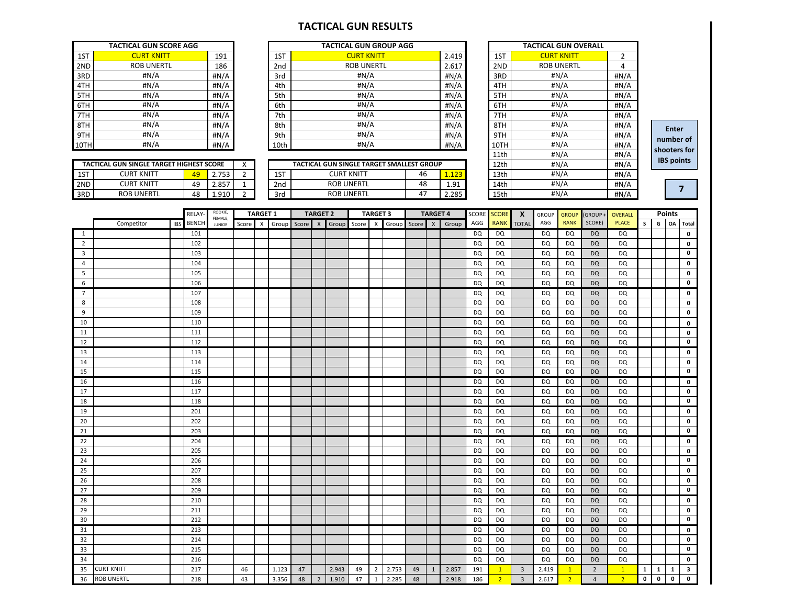### **TACTICAL GUN RESULTS**

|      | <b>TACTICAL GUN SCORE AGG</b> |      |
|------|-------------------------------|------|
| 1ST  | <b>CURT KNITT</b>             | 191  |
| 2ND  | <b>ROB UNERTL</b>             | 186  |
| 3RD  | #N/A                          | #N/A |
| 4TH  | #N/A                          | #N/A |
| 5TH  | #N/A                          | #N/A |
| 6TH  | #N/A                          | #N/A |
| 7TH  | #N/A                          | #N/A |
| 8TH  | #N/A                          | #N/A |
| 9TH  | #N/A                          | #N/A |
| 10TH | #N/A                          | #N/A |

|      | <b>TACTICAL GUN SCORE AGG</b> |      |                 | <b>TACTICAL GUN GROUP AGG</b> |       |                       | <b>TACTICAL GUN OVERALL</b>  |          |
|------|-------------------------------|------|-----------------|-------------------------------|-------|-----------------------|------------------------------|----------|
| 1ST  | <b>CURT KNITT</b>             | 191  | 1ST             | <b>CURT KNITT</b>             | 2.419 | 1ST                   | <b>CURT KNITT</b>            |          |
| 2ND  | <b>ROB UNERTL</b>             | 186  | 2 <sub>nd</sub> | <b>ROB UNERTL</b>             | 2.617 | 2ND                   | <b>ROB UNERTL</b>            | 4        |
| 3RD  | #N/A                          | #N/A | 3rd             | #N/A                          | #N/A  | 3RD                   | #N/A                         | #N/A     |
| 4TH  | #N/A                          | #N/A | 4th             | #N/A                          | #N/A  | 4TH                   | #N/A                         | #N/A     |
| 5TH  | #N/A                          | #N/A | 5th             | #N/A                          | #N/A  | 5TH                   | #N/A                         | #N/A     |
| 6TH  | #N/A                          | #N/A | 6th             | #N/A                          | #N/A  | 6TH                   | H N/A                        | #N/A     |
| 7TH  | #N/A                          | #N/A | 7th             | #N/A                          | #N/A  | 7TH                   | #N/A                         | #N/A     |
| 8TH  | #N/A                          | #N/A | 8th             | #N/A                          | #N/A  | 8TH                   | #N/A                         | #N/A     |
| 9TH  | #N/A                          | #N/A | 9th             | #N/A                          | #N/A  | 9TH                   | H N/A                        | #N/A     |
| 10TH | #N/A                          | #N/A | 10th            | #N/A                          | #N/A  | 10TH                  | #N/A                         | #N/A     |
|      |                               |      |                 |                               |       | $A$ , $A$ , $B$ , $B$ | $\mathbf{u}$ ni $\mathbf{v}$ | $\cdots$ |

|      | TACTICAL GUN SCORE AGG                          |    |       |   |                 | TACTICAL GUN GROUP AGG                    |    |         |                   | <b>TACTICAL GUN OVERALL</b> |       |
|------|-------------------------------------------------|----|-------|---|-----------------|-------------------------------------------|----|---------|-------------------|-----------------------------|-------|
| 1ST  | <b>CURT KNITT</b>                               |    | 191   |   | 1ST             | <b>CURT KNITT</b>                         |    | 2.419   | 1ST               | <b>CURT KNITT</b>           | 2     |
| 2ND  | <b>ROB UNERTL</b>                               |    | 186   |   | 2nd             | <b>ROB UNERTL</b><br>2.617                |    | 2ND     | <b>ROB UNERTL</b> | 4                           |       |
| 3RD  | #N/A                                            |    | #N/A  |   | 3rd             | #N/A<br>#N/A                              |    |         | 3RD               | #N/A                        | H N/A |
| 4TH  | #N/A                                            |    | #N/A  |   | 4th             | #N/A<br>#N/A                              |    |         | 4TH               | #N/A                        | #N/A  |
| 5TH  | #N/A                                            |    | #N/A  |   | 5th             | #N/A<br># $N/A$                           |    |         | 5TH               | #N/A                        | H N/A |
| 6TH  | #N/A                                            |    | #N/A  |   | 6th             | #N/A<br>#N/A                              |    |         | 6TH               | #N/A                        | #N/A  |
| 7TH  | #N/A                                            |    | #N/A  |   | 7th             | #N/A<br>#N/A                              |    | 7TH     | #N/A              | #N/A                        |       |
| 8TH  | #N/A                                            |    | #N/A  |   | 8th             | #N/A<br>#N/A                              |    | 8TH     | #N/A              | #N/A                        |       |
| 9TH  | #N/A                                            |    | #N/A  |   | 9th             | #N/A                                      |    | # $N/A$ | 9TH               | #N/A                        | #N/A  |
| 10TH | #N/A                                            |    | #N/A  |   | 10th            | #N/A                                      |    | #N/A    | 10TH              | #N/A                        | #N/A  |
|      |                                                 |    |       |   |                 |                                           |    |         | 11th              | #N/A                        | #N/A  |
|      | <b>TACTICAL GUN SINGLE TARGET HIGHEST SCORE</b> |    |       | X |                 | TACTICAL GUN SINGLE TARGET SMALLEST GROUP |    |         | 12th              | #N/A                        | #N/A  |
| 1ST  | <b>CURT KNITT</b>                               | 49 | 2.753 |   | 1ST             | <b>CURT KNITT</b>                         | 46 | 1.123   | 13th              | #N/A                        | #N/A  |
| 2ND  | <b>CURT KNITT</b>                               | 49 | 2.857 |   | 2 <sub>nd</sub> | <b>ROB UNERTL</b>                         | 48 | 1.91    | 14th              | #N/A                        | #N/A  |
| 3RD  | <b>ROB UNERTL</b>                               | 48 | 1.910 |   | 3rd             | <b>ROB UNERTL</b>                         | 47 | 2.285   | 15th              | #N/A                        | #N/A  |

**Enter number of shooters for IBS points**

| <b>ND</b>      | <b>CURT KNITT</b> |            | 49           | 2.857              | $\mathbf{1}$   |                 | 2nd   |       |                           | <b>ROB UNERTL</b> |       |                           |       | 48    |                           | 1.91  |              | 14th           |                |                | #N/A           |                | H N/A          |              |              |               | $\overline{\mathbf{z}}$ |
|----------------|-------------------|------------|--------------|--------------------|----------------|-----------------|-------|-------|---------------------------|-------------------|-------|---------------------------|-------|-------|---------------------------|-------|--------------|----------------|----------------|----------------|----------------|----------------|----------------|--------------|--------------|---------------|-------------------------|
| <b>RD</b>      | <b>ROB UNERTL</b> |            | 48           | 1.910              | $\overline{2}$ |                 | 3rd   |       |                           | <b>ROB UNERTL</b> |       |                           |       | 47    |                           | 2.285 |              | 15th           |                |                | #N/A           |                | #N/A           |              |              |               |                         |
|                |                   |            |              |                    |                |                 |       |       |                           |                   |       |                           |       |       |                           |       |              |                |                |                |                |                |                |              |              |               |                         |
|                |                   |            | RELAY-       | ROOKIE,<br>FEMALE, |                | <b>TARGET 1</b> |       |       | <b>TARGET 2</b>           |                   |       | <b>TARGET 3</b>           |       |       | <b>TARGET 4</b>           |       | <b>SCORE</b> | <b>SCORE</b>   | $\mathbf{x}$   | <b>GROUP</b>   | <b>GROUP</b>   | (GROUP -       | <b>OVERALL</b> |              |              | <b>Points</b> |                         |
|                | Competitor        | <b>IBS</b> | <b>BENCH</b> | <b>JUNIOR</b>      | Score          | $\mathsf{x}$    | Group | Score | $\boldsymbol{\mathsf{X}}$ | Group             | Score | $\boldsymbol{\mathsf{X}}$ | Group | Score | $\boldsymbol{\mathsf{x}}$ | Group | AGG          | <b>RANK</b>    | <b>TOTAL</b>   | AGG            | <b>RANK</b>    | SCORE)         | <b>PLACE</b>   | $\mathsf{s}$ | G            |               | OA Total                |
| 1              |                   |            | 101          |                    |                |                 |       |       |                           |                   |       |                           |       |       |                           |       | DQ           | <b>DQ</b>      |                | DQ             | <b>DQ</b>      | <b>DQ</b>      | DQ             |              |              |               | $\pmb{0}$               |
| $\overline{2}$ |                   |            | 102          |                    |                |                 |       |       |                           |                   |       |                           |       |       |                           |       | DQ           | <b>DQ</b>      |                | <b>DQ</b>      | DQ             | <b>DQ</b>      | DQ             |              |              |               | $\pmb{\mathsf{o}}$      |
| 3              |                   |            | 103          |                    |                |                 |       |       |                           |                   |       |                           |       |       |                           |       | DQ           | DQ             |                | <b>DQ</b>      | <b>DQ</b>      | <b>DQ</b>      | DQ             |              |              |               | 0                       |
| 4              |                   |            | 104          |                    |                |                 |       |       |                           |                   |       |                           |       |       |                           |       | DQ           | DQ             |                | DQ             | <b>DQ</b>      | <b>DQ</b>      | DQ             |              |              |               | $\pmb{\mathsf{o}}$      |
| 5              |                   |            | 105          |                    |                |                 |       |       |                           |                   |       |                           |       |       |                           |       | DQ           | <b>DQ</b>      |                | <b>DQ</b>      | <b>DQ</b>      | <b>DQ</b>      | DQ             |              |              |               | $\pmb{0}$               |
| 6              |                   |            | 106          |                    |                |                 |       |       |                           |                   |       |                           |       |       |                           |       | <b>DQ</b>    | <b>DQ</b>      |                | DQ             | <b>DQ</b>      | <b>DQ</b>      | DQ             |              |              |               | $\pmb{\mathsf{o}}$      |
| $\overline{7}$ |                   |            | 107          |                    |                |                 |       |       |                           |                   |       |                           |       |       |                           |       | <b>DQ</b>    | <b>DQ</b>      |                | DQ             | <b>DQ</b>      | <b>DQ</b>      | DQ             |              |              |               | $\mathbf 0$             |
| $\bf 8$        |                   |            | 108          |                    |                |                 |       |       |                           |                   |       |                           |       |       |                           |       | DQ           | DQ             |                | DQ             | DQ             | <b>DQ</b>      | DQ             |              |              |               | $\pmb{\mathsf{o}}$      |
| 9              |                   |            | 109          |                    |                |                 |       |       |                           |                   |       |                           |       |       |                           |       | <b>DQ</b>    | <b>DQ</b>      |                | <b>DQ</b>      | DQ             | <b>DQ</b>      | DQ             |              |              |               | $\pmb{0}$               |
| 10             |                   |            | 110          |                    |                |                 |       |       |                           |                   |       |                           |       |       |                           |       | DQ           | <b>DQ</b>      |                | DQ             | <b>DQ</b>      | <b>DQ</b>      | DQ             |              |              |               | $\pmb{0}$               |
| 11             |                   |            | 111          |                    |                |                 |       |       |                           |                   |       |                           |       |       |                           |       | DQ           | <b>DQ</b>      |                | DQ             | <b>DQ</b>      | <b>DQ</b>      | DQ             |              |              |               | $\pmb{0}$               |
| 12             |                   |            | 112          |                    |                |                 |       |       |                           |                   |       |                           |       |       |                           |       | DQ           | <b>DQ</b>      |                | DQ             | <b>DQ</b>      | <b>DQ</b>      | DQ             |              |              |               | $\pmb{0}$               |
| 13             |                   |            | 113          |                    |                |                 |       |       |                           |                   |       |                           |       |       |                           |       | DQ           | <b>DQ</b>      |                | DQ             | <b>DQ</b>      | <b>DQ</b>      | DQ             |              |              |               | $\pmb{\mathsf{o}}$      |
| 14             |                   |            | 114          |                    |                |                 |       |       |                           |                   |       |                           |       |       |                           |       | DQ           | <b>DQ</b>      |                | DQ             | <b>DQ</b>      | <b>DQ</b>      | DQ             |              |              |               | $\pmb{\mathsf{o}}$      |
| 15             |                   |            | 115          |                    |                |                 |       |       |                           |                   |       |                           |       |       |                           |       | DQ           | DQ             |                | DQ             | <b>DQ</b>      | <b>DQ</b>      | DQ             |              |              |               | $\pmb{0}$               |
| 16             |                   |            | 116          |                    |                |                 |       |       |                           |                   |       |                           |       |       |                           |       | DQ           | <b>DQ</b>      |                | DQ             | <b>DQ</b>      | <b>DQ</b>      | DQ             |              |              |               | $\pmb{0}$               |
| 17             |                   |            | 117          |                    |                |                 |       |       |                           |                   |       |                           |       |       |                           |       | DQ           | <b>DQ</b>      |                | <b>DQ</b>      | <b>DQ</b>      | <b>DQ</b>      | DQ             |              |              |               | $\pmb{\mathsf{o}}$      |
| 18             |                   |            | 118          |                    |                |                 |       |       |                           |                   |       |                           |       |       |                           |       | DQ           | <b>DQ</b>      |                | DQ             | DQ             | <b>DQ</b>      | DQ             |              |              |               | $\mathbf 0$             |
| 19             |                   |            | 201          |                    |                |                 |       |       |                           |                   |       |                           |       |       |                           |       | DQ           | <b>DQ</b>      |                | <b>DQ</b>      | <b>DQ</b>      | <b>DQ</b>      | DQ             |              |              |               | $\pmb{0}$               |
| 20             |                   |            | 202          |                    |                |                 |       |       |                           |                   |       |                           |       |       |                           |       | DQ           | <b>DQ</b>      |                | <b>DQ</b>      | <b>DQ</b>      | <b>DQ</b>      | DQ             |              |              |               | $\pmb{\mathsf{o}}$      |
| 21             |                   |            | 203          |                    |                |                 |       |       |                           |                   |       |                           |       |       |                           |       | DQ           | <b>DQ</b>      |                | DQ             | DQ             | <b>DQ</b>      | DQ             |              |              |               | $\pmb{0}$               |
| 22             |                   |            | 204          |                    |                |                 |       |       |                           |                   |       |                           |       |       |                           |       | DQ           | DQ             |                | DQ             | DQ             | <b>DQ</b>      | DQ             |              |              |               | $\pmb{0}$               |
| 23             |                   |            | 205          |                    |                |                 |       |       |                           |                   |       |                           |       |       |                           |       | DQ           | <b>DQ</b>      |                | DQ             | DQ             | <b>DQ</b>      | DQ             |              |              |               | $\mathbf 0$             |
| 24             |                   |            | 206          |                    |                |                 |       |       |                           |                   |       |                           |       |       |                           |       | DQ           | <b>DQ</b>      |                | DQ             | DQ             | <b>DQ</b>      | DQ             |              |              |               | $\pmb{\mathsf{o}}$      |
| 25             |                   |            | 207          |                    |                |                 |       |       |                           |                   |       |                           |       |       |                           |       | DQ           | <b>DQ</b>      |                | DQ             | <b>DQ</b>      | <b>DQ</b>      | DQ             |              |              |               | $\pmb{\mathsf{o}}$      |
| 26             |                   |            | 208          |                    |                |                 |       |       |                           |                   |       |                           |       |       |                           |       | DQ           | <b>DQ</b>      |                | <b>DQ</b>      | <b>DQ</b>      | <b>DQ</b>      | DQ             |              |              |               | $\mathbf 0$             |
| 27             |                   |            | 209          |                    |                |                 |       |       |                           |                   |       |                           |       |       |                           |       | DQ           | DQ             |                | <b>DQ</b>      | <b>DQ</b>      | <b>DQ</b>      | DQ             |              |              |               | $\pmb{0}$               |
| 28             |                   |            | 210          |                    |                |                 |       |       |                           |                   |       |                           |       |       |                           |       | DQ           | <b>DQ</b>      |                | DQ             | <b>DQ</b>      | <b>DQ</b>      | DQ             |              |              |               | $\pmb{0}$               |
| 29             |                   |            | 211          |                    |                |                 |       |       |                           |                   |       |                           |       |       |                           |       | DQ           | <b>DQ</b>      |                | <b>DQ</b>      | <b>DQ</b>      | <b>DQ</b>      | DQ             |              |              |               | $\pmb{\mathsf{o}}$      |
| 30             |                   |            | 212          |                    |                |                 |       |       |                           |                   |       |                           |       |       |                           |       | DQ           | <b>DQ</b>      |                | DQ             | <b>DQ</b>      | <b>DQ</b>      | DQ             |              |              |               | $\pmb{\mathsf{o}}$      |
| 31             |                   |            | 213          |                    |                |                 |       |       |                           |                   |       |                           |       |       |                           |       | DQ           | <b>DQ</b>      |                | DQ             | <b>DQ</b>      | <b>DQ</b>      | DQ             |              |              |               | $\mathbf 0$             |
| 32             |                   |            | 214          |                    |                |                 |       |       |                           |                   |       |                           |       |       |                           |       | DQ           | <b>DQ</b>      |                | <b>DQ</b>      | DQ             | <b>DQ</b>      | DQ             |              |              |               | $\pmb{0}$               |
| 33             |                   |            | 215          |                    |                |                 |       |       |                           |                   |       |                           |       |       |                           |       | DQ           | <b>DQ</b>      |                | DQ             | <b>DQ</b>      | <b>DQ</b>      | DQ             |              |              |               | $\mathbf 0$             |
| 34             |                   |            | 216          |                    |                |                 |       |       |                           |                   |       |                           |       |       |                           |       | DQ           | <b>DQ</b>      |                | D <sub>Q</sub> | <b>DQ</b>      | <b>DQ</b>      | DQ             |              |              |               | $\mathbf 0$             |
| 35             | <b>CURT KNITT</b> |            | 217          |                    | 46             |                 | 1.123 | 47    |                           | 2.943             | 49    | $\overline{2}$            | 2.753 | 49    | $\mathbf{1}$              | 2.857 | 191          | 1              | $\overline{3}$ | 2.419          | $\mathbf{1}$   | $\overline{2}$ | 1              | $\mathbf{1}$ | $\mathbf{1}$ | $\mathbf{1}$  | 3                       |
| 36             | <b>ROB UNERTL</b> |            | 218          |                    | 43             |                 | 3.356 | 48    | $\overline{2}$            | 1.910             | 47    | $\mathbf{1}$              | 2.285 | 48    |                           | 2.918 | 186          | $\overline{2}$ | $\overline{3}$ | 2.617          | $\overline{2}$ | $\overline{4}$ | 2 <sup>1</sup> | $\mathbf 0$  | $\pmb{0}$    | $\mathbf 0$   | $\mathbf 0$             |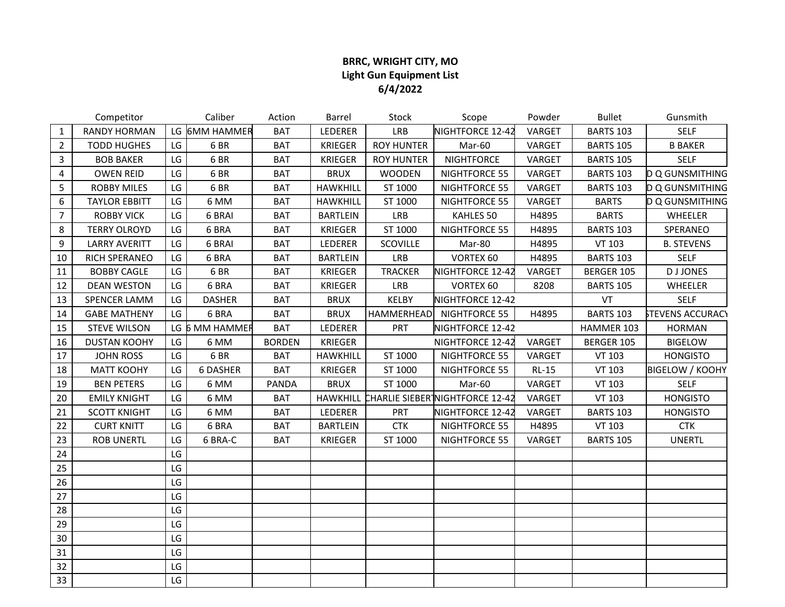## **BRRC, WRIGHT CITY, MO Light Gun Equipment List 6/4/2022**

|                | Competitor           |    | Caliber         | Action        | <b>Barrel</b>   | Stock             | Scope                                  | Powder       | <b>Bullet</b>    | Gunsmith                |
|----------------|----------------------|----|-----------------|---------------|-----------------|-------------------|----------------------------------------|--------------|------------------|-------------------------|
| $\mathbf{1}$   | <b>RANDY HORMAN</b>  |    | LG 6MM HAMMER   | <b>BAT</b>    | LEDERER         | LRB               | NIGHTFORCE 12-42                       | VARGET       | <b>BARTS 103</b> | <b>SELF</b>             |
| $\overline{2}$ | <b>TODD HUGHES</b>   | LG | 6BR             | <b>BAT</b>    | <b>KRIEGER</b>  | <b>ROY HUNTER</b> | Mar-60                                 | VARGET       | <b>BARTS 105</b> | <b>B BAKER</b>          |
| $\mathbf{3}$   | <b>BOB BAKER</b>     | LG | 6BR             | <b>BAT</b>    | <b>KRIEGER</b>  | <b>ROY HUNTER</b> | <b>NIGHTFORCE</b>                      | VARGET       | <b>BARTS 105</b> | <b>SELF</b>             |
| 4              | <b>OWEN REID</b>     | LG | 6BR             | <b>BAT</b>    | <b>BRUX</b>     | <b>WOODEN</b>     | NIGHTFORCE 55                          | VARGET       | <b>BARTS 103</b> | D Q GUNSMITHING         |
| 5              | <b>ROBBY MILES</b>   | LG | 6BR             | <b>BAT</b>    | <b>HAWKHILL</b> | ST 1000           | NIGHTFORCE 55                          | VARGET       | <b>BARTS 103</b> | <b>D Q GUNSMITHING</b>  |
| 6              | <b>TAYLOR EBBITT</b> | LG | 6 MM            | <b>BAT</b>    | <b>HAWKHILL</b> | ST 1000           | NIGHTFORCE 55                          | VARGET       | <b>BARTS</b>     | <b>D Q GUNSMITHING</b>  |
| $\overline{7}$ | <b>ROBBY VICK</b>    | LG | 6 BRAI          | <b>BAT</b>    | <b>BARTLEIN</b> | LRB               | KAHLES 50                              | H4895        | <b>BARTS</b>     | WHEELER                 |
| 8              | <b>TERRY OLROYD</b>  | LG | 6 BRA           | <b>BAT</b>    | <b>KRIEGER</b>  | ST 1000           | NIGHTFORCE 55                          | H4895        | <b>BARTS 103</b> | SPERANEO                |
| 9              | <b>LARRY AVERITT</b> | LG | 6 BRAI          | <b>BAT</b>    | LEDERER         | <b>SCOVILLE</b>   | Mar-80                                 | H4895        | VT 103           | <b>B. STEVENS</b>       |
| 10             | RICH SPERANEO        | LG | 6 BRA           | <b>BAT</b>    | <b>BARTLEIN</b> | LRB               | VORTEX 60                              | H4895        | <b>BARTS 103</b> | <b>SELF</b>             |
| 11             | <b>BOBBY CAGLE</b>   | LG | 6BR             | <b>BAT</b>    | <b>KRIEGER</b>  | <b>TRACKER</b>    | NIGHTFORCE 12-42                       | VARGET       | BERGER 105       | <b>DJJONES</b>          |
| 12             | <b>DEAN WESTON</b>   | LG | 6 BRA           | <b>BAT</b>    | <b>KRIEGER</b>  | LRB               | VORTEX 60                              | 8208         | <b>BARTS 105</b> | <b>WHEELER</b>          |
| 13             | <b>SPENCER LAMM</b>  | LG | <b>DASHER</b>   | <b>BAT</b>    | <b>BRUX</b>     | <b>KELBY</b>      | NIGHTFORCE 12-42                       |              | VT               | <b>SELF</b>             |
| 14             | <b>GABE MATHENY</b>  | LG | 6 BRA           | <b>BAT</b>    | <b>BRUX</b>     | <b>HAMMERHEAD</b> | NIGHTFORCE 55                          | H4895        | <b>BARTS 103</b> | <b>STEVENS ACCURACY</b> |
| 15             | <b>STEVE WILSON</b>  |    | LG 6 MM HAMMER  | <b>BAT</b>    | LEDERER         | <b>PRT</b>        | NIGHTFORCE 12-42                       |              | HAMMER 103       | <b>HORMAN</b>           |
| 16             | <b>DUSTAN KOOHY</b>  | LG | 6 MM            | <b>BORDEN</b> | <b>KRIEGER</b>  |                   | NIGHTFORCE 12-42                       | VARGET       | BERGER 105       | <b>BIGELOW</b>          |
| 17             | <b>JOHN ROSS</b>     | LG | 6BR             | <b>BAT</b>    | <b>HAWKHILL</b> | ST 1000           | NIGHTFORCE 55                          | VARGET       | VT 103           | <b>HONGISTO</b>         |
| 18             | <b>MATT KOOHY</b>    | LG | <b>6 DASHER</b> | <b>BAT</b>    | <b>KRIEGER</b>  | ST 1000           | NIGHTFORCE 55                          | <b>RL-15</b> | VT 103           | <b>BIGELOW / KOOHY</b>  |
| 19             | <b>BEN PETERS</b>    | LG | 6 MM            | <b>PANDA</b>  | <b>BRUX</b>     | ST 1000           | Mar-60                                 | VARGET       | VT 103           | <b>SELF</b>             |
| 20             | <b>EMILY KNIGHT</b>  | LG | 6 MM            | <b>BAT</b>    | <b>HAWKHILL</b> |                   | <b>CHARLIE SIEBER NIGHTFORCE 12-42</b> | VARGET       | VT 103           | <b>HONGISTO</b>         |
| 21             | <b>SCOTT KNIGHT</b>  | LG | 6 MM            | <b>BAT</b>    | LEDERER         | <b>PRT</b>        | NIGHTFORCE 12-42                       | VARGET       | <b>BARTS 103</b> | <b>HONGISTO</b>         |
| 22             | <b>CURT KNITT</b>    | LG | 6 BRA           | <b>BAT</b>    | <b>BARTLEIN</b> | <b>CTK</b>        | NIGHTFORCE 55                          | H4895        | VT 103           | <b>CTK</b>              |
| 23             | <b>ROB UNERTL</b>    | LG | 6 BRA-C         | <b>BAT</b>    | <b>KRIEGER</b>  | ST 1000           | NIGHTFORCE 55                          | VARGET       | <b>BARTS 105</b> | <b>UNERTL</b>           |
| 24             |                      | LG |                 |               |                 |                   |                                        |              |                  |                         |
| 25             |                      | LG |                 |               |                 |                   |                                        |              |                  |                         |
| 26             |                      | LG |                 |               |                 |                   |                                        |              |                  |                         |
| 27             |                      | LG |                 |               |                 |                   |                                        |              |                  |                         |
| 28             |                      | LG |                 |               |                 |                   |                                        |              |                  |                         |
| 29             |                      | LG |                 |               |                 |                   |                                        |              |                  |                         |
| 30             |                      | LG |                 |               |                 |                   |                                        |              |                  |                         |
| 31             |                      | LG |                 |               |                 |                   |                                        |              |                  |                         |
| 32             |                      | LG |                 |               |                 |                   |                                        |              |                  |                         |
| 33             |                      | LG |                 |               |                 |                   |                                        |              |                  |                         |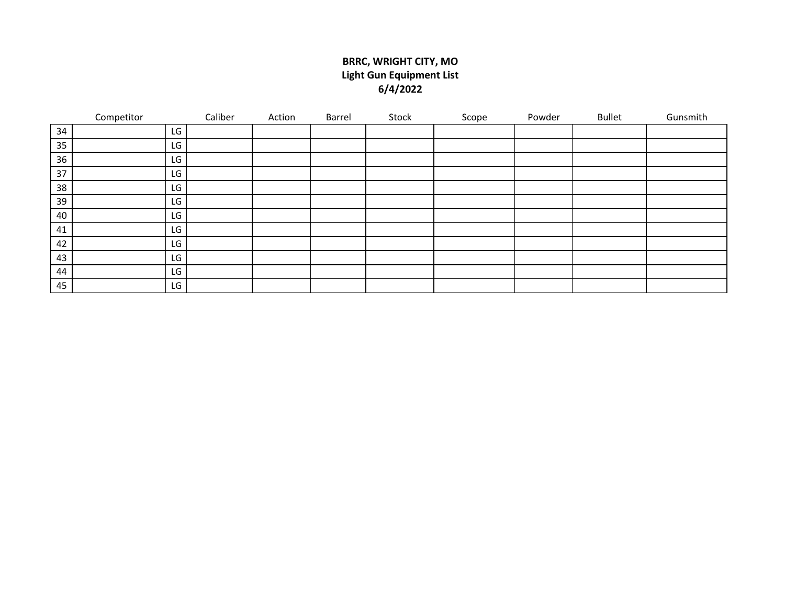## **BRRC, WRIGHT CITY, MO Light Gun Equipment List 6/4/2022**

|    | Competitor | Caliber | Action | Barrel | Stock | Scope | Powder | <b>Bullet</b> | Gunsmith |
|----|------------|---------|--------|--------|-------|-------|--------|---------------|----------|
| 34 | LG         |         |        |        |       |       |        |               |          |
| 35 | LG         |         |        |        |       |       |        |               |          |
| 36 | LG         |         |        |        |       |       |        |               |          |
| 37 | LG         |         |        |        |       |       |        |               |          |
| 38 | LG         |         |        |        |       |       |        |               |          |
| 39 | LG         |         |        |        |       |       |        |               |          |
| 40 | LG         |         |        |        |       |       |        |               |          |
| 41 | LG         |         |        |        |       |       |        |               |          |
| 42 | LG         |         |        |        |       |       |        |               |          |
| 43 | LG         |         |        |        |       |       |        |               |          |
| 44 | LG         |         |        |        |       |       |        |               |          |
| 45 | LG         |         |        |        |       |       |        |               |          |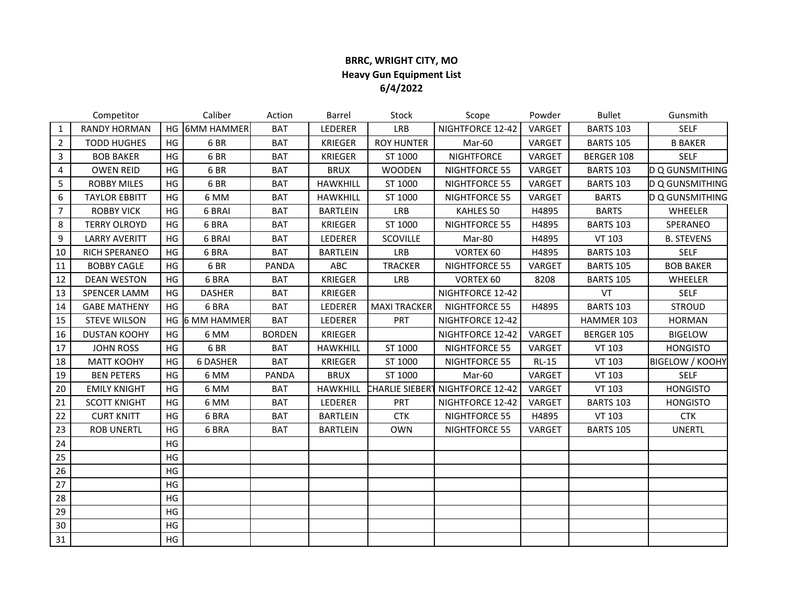## **BRRC, WRIGHT CITY, MO Heavy Gun Equipment List 6/4/2022**

|                | Competitor           |    | Caliber            | Action        | Barrel          | Stock                  | Scope                | Powder  | <b>Bullet</b>    | Gunsmith               |
|----------------|----------------------|----|--------------------|---------------|-----------------|------------------------|----------------------|---------|------------------|------------------------|
| $\mathbf{1}$   | <b>RANDY HORMAN</b>  | HG | <b>6MM HAMMER</b>  | <b>BAT</b>    | LEDERER         | <b>LRB</b>             | NIGHTFORCE 12-42     | VARGET  | <b>BARTS 103</b> | <b>SELF</b>            |
| $\overline{2}$ | <b>TODD HUGHES</b>   | HG | 6BR                | <b>BAT</b>    | <b>KRIEGER</b>  | <b>ROY HUNTER</b>      | Mar-60               | VARGET  | <b>BARTS 105</b> | <b>B BAKER</b>         |
| 3              | <b>BOB BAKER</b>     | HG | 6BR                | <b>BAT</b>    | <b>KRIEGER</b>  | ST 1000                | <b>NIGHTFORCE</b>    | VARGET  | BERGER 108       | <b>SELF</b>            |
| 4              | <b>OWEN REID</b>     | HG | 6BR                | <b>BAT</b>    | <b>BRUX</b>     | <b>WOODEN</b>          | NIGHTFORCE 55        | VARGET  | <b>BARTS 103</b> | D Q GUNSMITHING        |
| 5              | <b>ROBBY MILES</b>   | HG | 6BR                | <b>BAT</b>    | <b>HAWKHILL</b> | ST 1000                | NIGHTFORCE 55        | VARGET  | <b>BARTS 103</b> | D Q GUNSMITHING        |
| 6              | <b>TAYLOR EBBITT</b> | HG | 6 MM               | <b>BAT</b>    | <b>HAWKHILL</b> | ST 1000                | NIGHTFORCE 55        | VARGET  | <b>BARTS</b>     | <b>D Q GUNSMITHING</b> |
| $\overline{7}$ | <b>ROBBY VICK</b>    | HG | 6 BRAI             | <b>BAT</b>    | <b>BARTLEIN</b> | LRB                    | KAHLES 50            | H4895   | <b>BARTS</b>     | WHEELER                |
| 8              | <b>TERRY OLROYD</b>  | HG | 6 BRA              | <b>BAT</b>    | <b>KRIEGER</b>  | ST 1000                | NIGHTFORCE 55        | H4895   | <b>BARTS 103</b> | SPERANEO               |
| 9              | <b>LARRY AVERITT</b> | HG | 6 BRAI             | <b>BAT</b>    | LEDERER         | SCOVILLE               | Mar-80               | H4895   | VT 103           | <b>B. STEVENS</b>      |
| 10             | RICH SPERANEO        | HG | 6 BRA              | <b>BAT</b>    | <b>BARTLEIN</b> | LRB                    | VORTEX 60            | H4895   | <b>BARTS 103</b> | <b>SELF</b>            |
| 11             | <b>BOBBY CAGLE</b>   | HG | 6BR                | <b>PANDA</b>  | ABC             | <b>TRACKER</b>         | NIGHTFORCE 55        | VARGET  | <b>BARTS 105</b> | <b>BOB BAKER</b>       |
| 12             | <b>DEAN WESTON</b>   | HG | 6 BRA              | <b>BAT</b>    | <b>KRIEGER</b>  | <b>LRB</b>             | VORTEX 60            | 8208    | <b>BARTS 105</b> | WHEELER                |
| 13             | <b>SPENCER LAMM</b>  | HG | <b>DASHER</b>      | <b>BAT</b>    | <b>KRIEGER</b>  |                        | NIGHTFORCE 12-42     |         | VT               | <b>SELF</b>            |
| 14             | <b>GABE MATHENY</b>  | HG | 6 BRA              | <b>BAT</b>    | LEDERER         | <b>MAXI TRACKER</b>    | NIGHTFORCE 55        | H4895   | <b>BARTS 103</b> | <b>STROUD</b>          |
| 15             | <b>STEVE WILSON</b>  | HG | <b>6 MM HAMMER</b> | <b>BAT</b>    | LEDERER         | PRT                    | NIGHTFORCE 12-42     |         | HAMMER 103       | <b>HORMAN</b>          |
| 16             | <b>DUSTAN KOOHY</b>  | HG | 6 MM               | <b>BORDEN</b> | <b>KRIEGER</b>  |                        | NIGHTFORCE 12-42     | VARGET  | BERGER 105       | <b>BIGELOW</b>         |
| 17             | <b>JOHN ROSS</b>     | HG | 6BR                | <b>BAT</b>    | <b>HAWKHILL</b> | ST 1000                | NIGHTFORCE 55        | VARGET  | <b>VT 103</b>    | <b>HONGISTO</b>        |
| 18             | <b>MATT KOOHY</b>    | HG | 6 DASHER           | <b>BAT</b>    | <b>KRIEGER</b>  | ST 1000                | <b>NIGHTFORCE 55</b> | $RL-15$ | <b>VT 103</b>    | <b>BIGELOW / KOOHY</b> |
| 19             | <b>BEN PETERS</b>    | HG | 6 MM               | PANDA         | <b>BRUX</b>     | ST 1000                | Mar-60               | VARGET  | <b>VT 103</b>    | <b>SELF</b>            |
| 20             | <b>EMILY KNIGHT</b>  | HG | 6 MM               | <b>BAT</b>    | <b>HAWKHILL</b> | <b>CHARLIE SIEBERT</b> | NIGHTFORCE 12-42     | VARGET  | VT 103           | <b>HONGISTO</b>        |
| 21             | <b>SCOTT KNIGHT</b>  | HG | 6 MM               | <b>BAT</b>    | LEDERER         | PRT                    | NIGHTFORCE 12-42     | VARGET  | <b>BARTS 103</b> | <b>HONGISTO</b>        |
| 22             | <b>CURT KNITT</b>    | HG | 6 BRA              | <b>BAT</b>    | <b>BARTLEIN</b> | <b>CTK</b>             | NIGHTFORCE 55        | H4895   | <b>VT 103</b>    | <b>CTK</b>             |
| 23             | <b>ROB UNERTL</b>    | HG | 6 BRA              | <b>BAT</b>    | <b>BARTLEIN</b> | <b>OWN</b>             | NIGHTFORCE 55        | VARGET  | <b>BARTS 105</b> | <b>UNERTL</b>          |
| 24             |                      | HG |                    |               |                 |                        |                      |         |                  |                        |
| 25             |                      | HG |                    |               |                 |                        |                      |         |                  |                        |
| 26             |                      | HG |                    |               |                 |                        |                      |         |                  |                        |
| 27             |                      | HG |                    |               |                 |                        |                      |         |                  |                        |
| 28             |                      | HG |                    |               |                 |                        |                      |         |                  |                        |
| 29             |                      | HG |                    |               |                 |                        |                      |         |                  |                        |
| 30             |                      | HG |                    |               |                 |                        |                      |         |                  |                        |
| 31             |                      | HG |                    |               |                 |                        |                      |         |                  |                        |
|                |                      |    |                    |               |                 |                        |                      |         |                  |                        |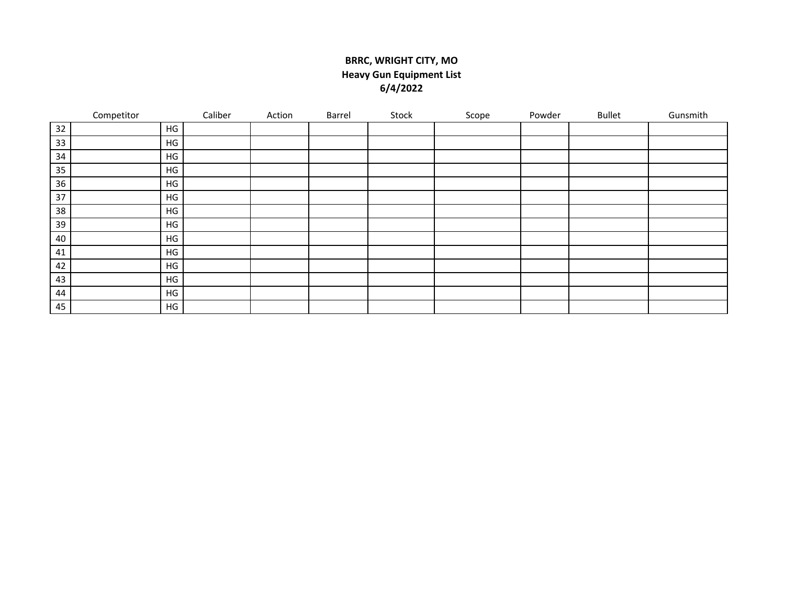## **BRRC, WRIGHT CITY, MO Heavy Gun Equipment List 6/4/2022**

|    | Competitor |               | Caliber | Action | Barrel | Stock | Scope | Powder | <b>Bullet</b> | Gunsmith |
|----|------------|---------------|---------|--------|--------|-------|-------|--------|---------------|----------|
| 32 |            | HG            |         |        |        |       |       |        |               |          |
| 33 |            | HG            |         |        |        |       |       |        |               |          |
| 34 |            | HG            |         |        |        |       |       |        |               |          |
| 35 |            | HG            |         |        |        |       |       |        |               |          |
| 36 |            | HG            |         |        |        |       |       |        |               |          |
| 37 |            | HG            |         |        |        |       |       |        |               |          |
| 38 |            | HG            |         |        |        |       |       |        |               |          |
| 39 |            | HG            |         |        |        |       |       |        |               |          |
| 40 |            | $\mathsf{HG}$ |         |        |        |       |       |        |               |          |
| 41 |            | HG            |         |        |        |       |       |        |               |          |
| 42 |            | HG            |         |        |        |       |       |        |               |          |
| 43 |            | HG            |         |        |        |       |       |        |               |          |
| 44 |            | HG            |         |        |        |       |       |        |               |          |
| 45 |            | HG            |         |        |        |       |       |        |               |          |